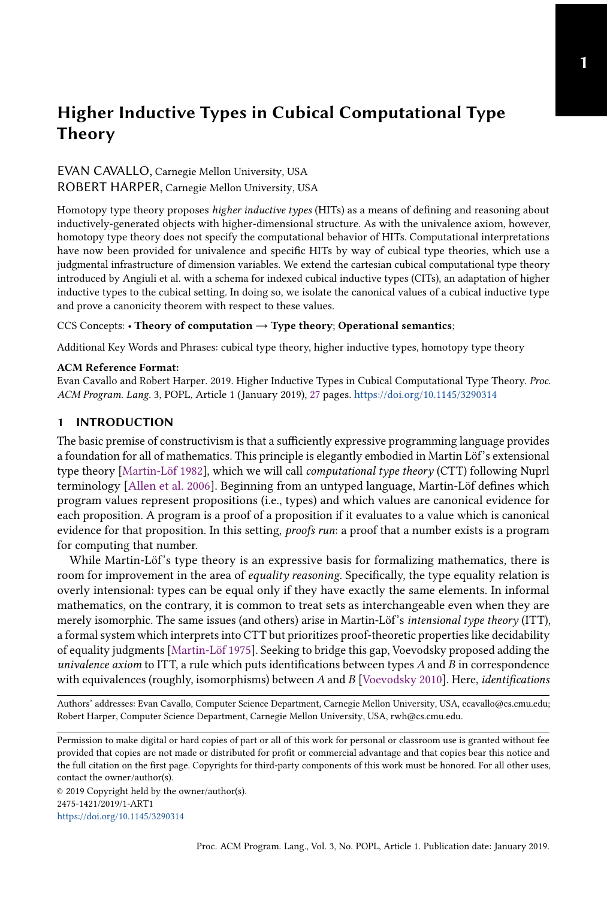EVAN CAVALLO, Carnegie Mellon University, USA ROBERT HARPER, Carnegie Mellon University, USA

Homotopy type theory proposes higher inductive types (HITs) as a means of defining and reasoning about inductively-generated objects with higher-dimensional structure. As with the univalence axiom, however, homotopy type theory does not specify the computational behavior of HITs. Computational interpretations have now been provided for univalence and specific HITs by way of cubical type theories, which use a judgmental infrastructure of dimension variables. We extend the cartesian cubical computational type theory introduced by Angiuli et al. with a schema for indexed cubical inductive types (CITs), an adaptation of higher inductive types to the cubical setting. In doing so, we isolate the canonical values of a cubical inductive type and prove a canonicity theorem with respect to these values.

#### CCS Concepts: • Theory of computation  $\rightarrow$  Type theory; Operational semantics;

Additional Key Words and Phrases: cubical type theory, higher inductive types, homotopy type theory

#### ACM Reference Format:

Evan Cavallo and Robert Harper. 2019. Higher Inductive Types in Cubical Computational Type Theory. Proc. ACM Program. Lang. 3, POPL, Article 1 (January 2019), [27](#page-26-0) pages. <https://doi.org/10.1145/3290314>

# <span id="page-0-0"></span>1 INTRODUCTION

The basic premise of constructivism is that a sufficiently expressive programming language provides a foundation for all of mathematics. This principle is elegantly embodied in Martin Löf's extensional type theory [\[Martin-Löf](#page-26-1) [1982\]](#page-26-1), which we will call computational type theory (CTT) following Nuprl terminology [\[Allen et al.](#page-25-0) [2006\]](#page-25-0). Beginning from an untyped language, Martin-Löf defines which program values represent propositions (i.e., types) and which values are canonical evidence for each proposition. A program is a proof of a proposition if it evaluates to a value which is canonical evidence for that proposition. In this setting, *proofs run*: a proof that a number exists is a program for computing that number.

While Martin-Löf's type theory is an expressive basis for formalizing mathematics, there is room for improvement in the area of *equality reasoning*. Specifically, the type equality relation is overly intensional: types can be equal only if they have exactly the same elements. In informal mathematics, on the contrary, it is common to treat sets as interchangeable even when they are merely isomorphic. The same issues (and others) arise in Martin-Löf's *intensional type theory* (ITT), a formal system which interprets into CTT but prioritizes proof-theoretic properties like decidability of equality judgments [\[Martin-Löf](#page-26-2) [1975\]](#page-26-2). Seeking to bridge this gap, Voevodsky proposed adding the univalence axiom to ITT, a rule which puts identifications between types  $A$  and  $B$  in correspondence with equivalences (roughly, isomorphisms) between  $A$  and  $B$  [\[Voevodsky](#page-26-3) [2010\]](#page-26-3). Here, *identifications* 

Authors' addresses: Evan Cavallo, Computer Science Department, Carnegie Mellon University, USA, ecavallo@cs.cmu.edu; Robert Harper, Computer Science Department, Carnegie Mellon University, USA, rwh@cs.cmu.edu.

Permission to make digital or hard copies of part or all of this work for personal or classroom use is granted without fee provided that copies are not made or distributed for profit or commercial advantage and that copies bear this notice and the full citation on the first page. Copyrights for third-party components of this work must be honored. For all other uses, contact the owner/author(s).

© 2019 Copyright held by the owner/author(s). 2475-1421/2019/1-ART1 <https://doi.org/10.1145/3290314>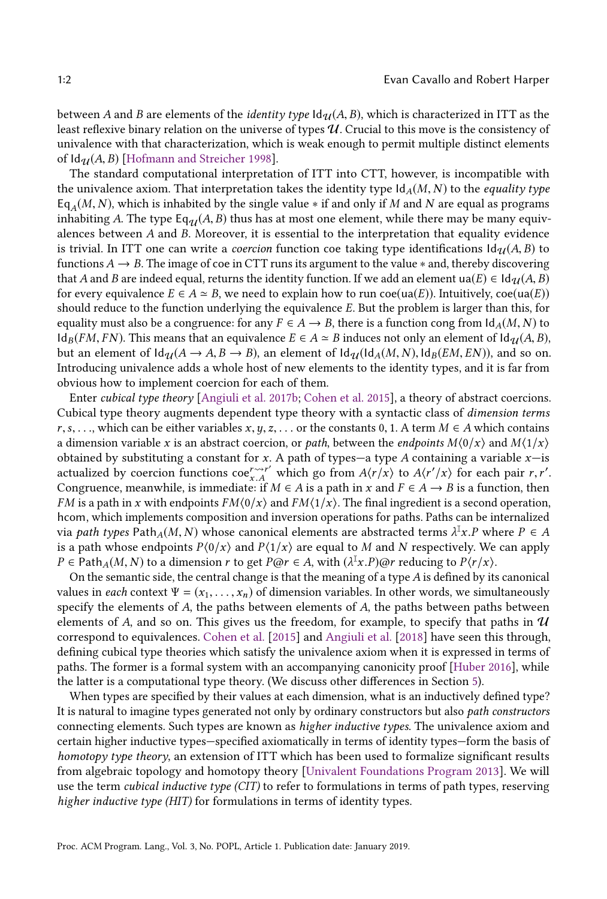between A and B are elements of the *identity type*  $\text{Id}_{\mathcal{U}}(A, B)$ , which is characterized in ITT as the least reflexive binary relation on the universe of types U. Crucial to this move is the consistency of univalence with that characterization, which is weak enough to permit multiple distinct elements of  $Id_{\mathcal{U}}(A, B)$  [\[Hofmann and Streicher](#page-26-4) [1998\]](#page-26-4).

The standard computational interpretation of ITT into CTT, however, is incompatible with the univalence axiom. That interpretation takes the identity type  $\mathrm{Id}_A(M, N)$  to the *equality type* Eq<sub>A</sub>(M, N), which is inhabited by the single value ∗ if and only if M and N are equal as programs inhabiting A. The type Eq. (A, B) thus has at most one element, while there may be many equivalent inhabiting A. The type  $Eq_{\mathcal{U}}(A, B)$  thus has at most one element, while there may be many equiv-<br>alences between A and B. Moreover, it is essential to the interpretation that equality evidence alences between  $A$  and  $B$ . Moreover, it is essential to the interpretation that equality evidence is trivial. In ITT one can write a *coercion* function coe taking type identifications  $\mathrm{Id}_{\mathcal{U}}(A, B)$  to functions  $A \rightarrow B$ . The image of coe in CTT runs its argument to the value  $*$  and, thereby discovering that A and B are indeed equal, returns the identity function. If we add an element ua(E)  $\in$  Id<sub>U</sub>(A, B) for every equivalence  $E \in A \simeq B$ , we need to explain how to run coe(ua(E)). Intuitively, coe(ua(E)) should reduce to the function underlying the equivalence E. But the problem is larger than this, for equality must also be a congruence: for any  $F \in A \rightarrow B$ , there is a function cong from  $\text{Id}_A(M, N)$  to  $Id_B(FM, FN)$ . This means that an equivalence  $E \in A \simeq B$  induces not only an element of  $Id_{\mathcal{U}}(A, B)$ , but an element of  $\text{Id}_{\mathcal{U}}(A \to A, B \to B)$ , an element of  $\text{Id}_{\mathcal{U}}(\text{Id}_{A}(M, N), \text{Id}_{B}(EM, EN))$ , and so on. Introducing univalence adds a whole host of new elements to the identity types, and it is far from obvious how to implement coercion for each of them.

Enter cubical type theory [\[Angiuli et al.](#page-25-1) [2017b;](#page-25-1) [Cohen et al.](#page-26-5) [2015\]](#page-26-5), a theory of abstract coercions. Cubical type theory augments dependent type theory with a syntactic class of dimension terms r, s, ..., which can be either variables x, y, z, ... or the constants 0, 1. A term  $M \in A$  which contains a dimension variable x is an abstract coercion, or path, between the *endpoints*  $M(0/x)$  and  $M(1/x)$ obtained by substituting a constant for x. A path of types—a type A containing a variable  $x$ —is actualized by coercion functions  $\cos_{x,A}^{r \rightarrow r'}$  which go from  $A\langle r/x \rangle$  to  $A\langle r'/x \rangle$  for each pair r, r'. Congruence, meanwhile, is immediate: if  $M \in A$  is a path in x and  $F \in A \rightarrow B$  is a function, then *FM* is a path in x with endpoints  $FM(0/x)$  and  $FM(1/x)$ . The final ingredient is a second operation, hcom, which implements composition and inversion operations for paths. Paths can be internalized via path types Path<sub>A</sub>(M, N) whose canonical elements are abstracted terms  $\lambda^{\mathbb{I}}x$ . P where  $P \in A$ <br>is a path whose endpoints  $P(\lambda|x)$  and  $P(\lambda|x)$  are equal to M and N respectively. We can apply is a path whose endpoints  $P(0/x)$  and  $P(1/x)$  are equal to M and N respectively. We can apply  $P \in \text{Path}_{A}(M, N)$  to a dimension r to get  $P \circ P \in A$ , with  $(\lambda^{\mathbb{I}} x.P) \circ P$  reducing to  $P(r/x)$ .<br>On the semantic side, the central change is that the meaning of a type 4 is defined by its

On the semantic side, the central change is that the meaning of a type  $A$  is defined by its canonical values in each context  $\Psi = (x_1, \ldots, x_n)$  of dimension variables. In other words, we simultaneously specify the elements of A, the paths between elements of A, the paths between paths between elements of A, and so on. This gives us the freedom, for example, to specify that paths in  $\mathcal U$ correspond to equivalences. [Cohen et al.](#page-26-5) [\[2015\]](#page-26-5) and [Angiuli et al.](#page-25-2) [\[2018\]](#page-25-2) have seen this through, defining cubical type theories which satisfy the univalence axiom when it is expressed in terms of paths. The former is a formal system with an accompanying canonicity proof [\[Huber](#page-26-6) [2016\]](#page-26-6), while the latter is a computational type theory. (We discuss other differences in Section [5\)](#page-23-0).

When types are specified by their values at each dimension, what is an inductively defined type? It is natural to imagine types generated not only by ordinary constructors but also path constructors connecting elements. Such types are known as higher inductive types. The univalence axiom and certain higher inductive types—specified axiomatically in terms of identity types—form the basis of homotopy type theory, an extension of ITT which has been used to formalize significant results from algebraic topology and homotopy theory [\[Univalent Foundations Program](#page-26-7) [2013\]](#page-26-7). We will use the term *cubical inductive type (CIT)* to refer to formulations in terms of path types, reserving higher inductive type (HIT) for formulations in terms of identity types.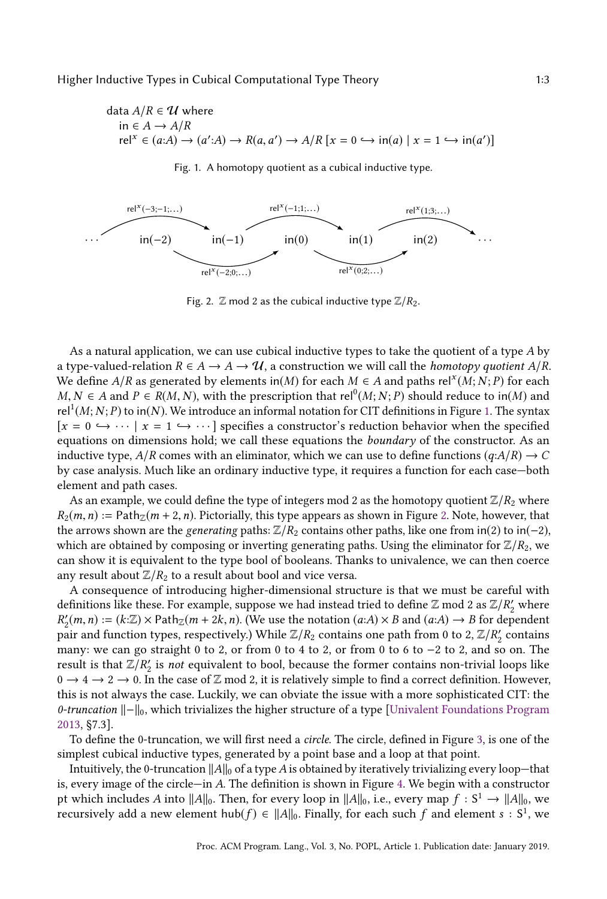<span id="page-2-0"></span>data 
$$
A/R \in U
$$
 where  
in  $\in A \rightarrow A/R$   
rel<sup>x</sup>  $\in$   $(a:A) \rightarrow (a':A) \rightarrow R(a,a') \rightarrow A/R [x = 0 \hookrightarrow in(a) | x = 1 \hookrightarrow in(a')]$ 

Fig. 1. A homotopy quotient as a cubical inductive type.

<span id="page-2-1"></span>

Fig. 2.  $\mathbb{Z}$  mod 2 as the cubical inductive type  $\mathbb{Z}/R_2$ .

As a natural application, we can use cubical inductive types to take the quotient of a type  $A$  by a type-valued-relation  $R \in A \rightarrow A \rightarrow U$ , a construction we will call the *homotopy quotient*  $A/R$ . We define  $A/R$  as generated by elements in(M) for each  $M \in A$  and paths rel<sup>x</sup>( $M$ ;  $N$ ; P) for each  $M N \in A$  and  $P \in B(M, N)$  with the prescription that rel<sup>0</sup>( $M \cdot N \cdot P$ ) should reduce to in(M) and  $M, N \in A$  and  $P \in R(M, N)$ , with the prescription that  $rel^0(M; N; P)$  should reduce to in(M) and  $rel^1(M; N; P)$  to in(N). We introduce an informal notation for CIT definitions in Figure 1. The syntax rel<sup>1</sup>(*M*; *N*; *P*) to in(*N*). We introduce an informal notation for CIT definitions in Figure [1.](#page-2-0) The syntax  $[x = 0 \hookrightarrow \cdots | x = 1 \hookrightarrow \cdots]$  specifies a constructor's reduction behavior when the specified equations on dimensions hold; we call these equations the boundary of the constructor. As an inductive type,  $A/R$  comes with an eliminator, which we can use to define functions  $(q: A/R) \rightarrow C$ by case analysis. Much like an ordinary inductive type, it requires a function for each case—both element and path cases.

As an example, we could define the type of integers mod 2 as the homotopy quotient  $\mathbb{Z}/R_2$  where  $R_2(m,n) := \text{Path}_{\mathbb{Z}}(m+2,n)$ . Pictorially, this type appears as shown in Figure [2.](#page-2-1) Note, however, that the arrows shown are the *generating* paths:  $\mathbb{Z}/R_2$  contains other paths, like one from in(2) to in(−2), which are obtained by composing or inverting generating paths. Using the eliminator for  $\mathbb{Z}/R_2$ , we can show it is equivalent to the type bool of booleans. Thanks to univalence, we can then coerce any result about  $\mathbb{Z}/R_2$  to a result about bool and vice versa.

A consequence of introducing higher-dimensional structure is that we must be careful with definitions like these. For example, suppose we had instead tried to define  $\mathbb{Z}$  mod 2 as  $\mathbb{Z}/R'_2$  where  $R'(m, n) := (k \cdot \mathbb{Z}) \times \text{Path}_{\mathbb{Z}}(m + 2k, n)$ . (We use the notation  $(a \cdot A) \times R$  and  $(a \cdot A) \rightarrow R$  for dependent pair and function types, respectively.) While  $\mathbb{Z}/R_2$  contains one path from 0 to 2,  $\mathbb{Z}/R'_2$  contains many: we can go straight 0 to 2, or from 0 to 4 to 2, or from 0 to 6 to -2 to 2, and so on. The  $\chi_2'(m,n) := (k:\mathbb{Z}) \times \text{Path}_{\mathbb{Z}}(m + 2k,n)$ . (We use the notation  $(a:A) \times B$  and  $(a:A) \rightarrow B$  for dependent  $\text{Poisson}$  and function types, respectively). While  $\mathbb{Z}/R_2$  contains one path from 0 to 2.  $\mathbb{Z}/R'_2$  contains many: we can go straight 0 to 2, or from 0 to 4 to 2, or from 0 to 6 to −2 to 2, and so on. The result is that  $\mathbb{Z}/R'_2$  is *not* equivalent to bool, because the former contains non-trivial loops like  $0 \rightarrow 4 \rightarrow 2 \rightarrow 0$ . In the case of  $\mathbb{Z}$  mod 2 it is relatively simple to find a correct definition. However  $0 \to 4 \to 2 \to 0$ . In the case of Z mod 2, it is relatively simple to find a correct definition. However, this is not always the case. Luckily, we can obviate the issue with a more sophisticated CIT: the 0-truncation ∥−∥0, which trivializes the higher structure of a type [\[Univalent Foundations Program](#page-26-7) [2013,](#page-26-7) §7.3].

To define the 0-truncation, we will first need a circle. The circle, defined in Figure [3,](#page-3-0) is one of the simplest cubical inductive types, generated by a point base and a loop at that point.

Intuitively, the 0-truncation <sup>∥</sup>A∥<sup>0</sup> of a typeAis obtained by iteratively trivializing every loop—that is, every image of the circle—in A. The definition is shown in Figure [4.](#page-3-1) We begin with a constructor pt which includes A into  $||A||_0$ . Then, for every loop in  $||A||_0$ , i.e., every map  $f : S^1 \to ||A||_0$ , we recursively add a new element bub(f)  $\in ||A||_0$ . Finally for each such f and element  $s : S^1$  we recursively add a new element  $hub(f) \in ||A||_0$ . Finally, for each such f and element s : S<sup>1</sup>, we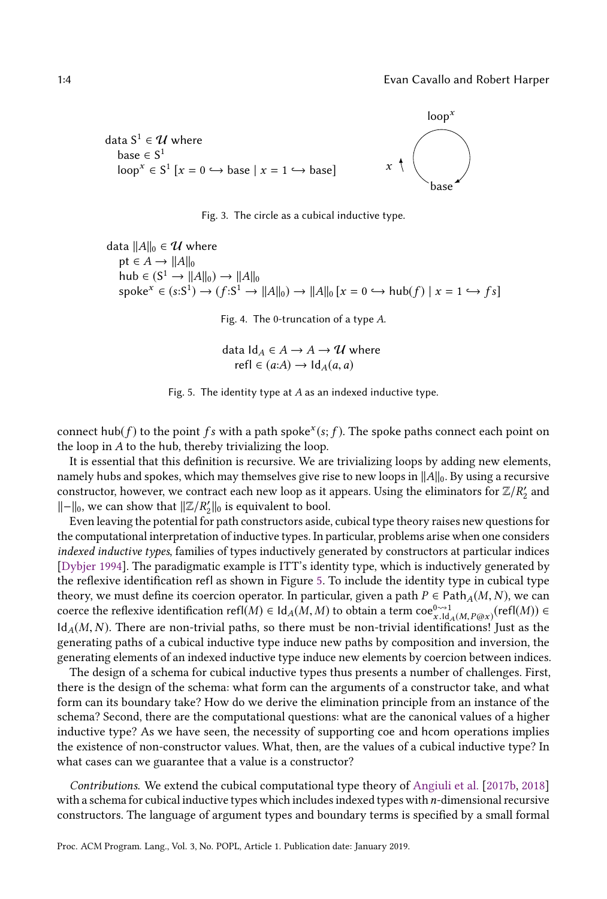<span id="page-3-0"></span>



<span id="page-3-1"></span>data  $||A||_0 \in \mathcal{U}$  where  $pt \in A \rightarrow ||A||_0$  $hub \in (S^1 \rightarrow ||A||_0) \rightarrow ||A||_0$ <br>spoke<sup>x</sup>  $\in (S^1) \rightarrow (f.S^1 \rightarrow$  $\operatorname{spoke}^x \in (\mathfrak{s}:\mathfrak{S}^1) \to (f:\mathfrak{S}^1 \to ||A||_0) \to ||A||_0 [x = 0 \hookrightarrow \text{hub}(f) \mid x = 1 \hookrightarrow fs]$ 

Fig. 4. The <sup>0</sup>-truncation of a type A.

data  $\mathrm{Id}_A \in A \to A \to \mathcal{U}$  where refl  $\in$   $(a:A) \rightarrow \text{Id}_A(a,a)$ 



<span id="page-3-2"></span>connect  $hub(f)$  to the point f s with a path spoke<sup>x</sup>(s; f). The spoke paths connect each point on the loop in A to the bub, thereby trivializing the loop the loop in A to the hub, thereby trivializing the loop.

It is essential that this definition is recursive. We are trivializing loops by adding new elements, namely hubs and spokes, which may themselves give rise to new loops in  $||A||_0$ . By using a recursive constructor, however, we contract each new loop as it appears. Using the eliminators for  $\mathbb{Z}/R'_2$  and  $\|\cdot\|$  we can show that  $\|\mathbb{Z}/R'\|_2$  is equivalent to bool  $\|\cdot\|_0$ , we can show that  $\|\mathbb{Z}/R_2'\|_0$  is equivalent to bool.<br>Even leaving the potential for path constructors aside

Even leaving the potential for path constructors aside, cubical type theory raises new questions for the computational interpretation of inductive types. In particular, problems arise when one considers indexed inductive types, families of types inductively generated by constructors at particular indices [\[Dybjer](#page-26-8) [1994\]](#page-26-8). The paradigmatic example is ITT's identity type, which is inductively generated by the reflexive identification refl as shown in Figure [5.](#page-3-2) To include the identity type in cubical type theory, we must define its coercion operator. In particular, given a path  $P \in \text{Path}_{A}(M, N)$ , we can coerce the reflexive identification refl(M)  $\in$  Id<sub>A</sub>(M, M) to obtain a term coe<sup>0∞1</sup><sub>x.ld<sub>A</sub>(M, P@x)</sub>(refl(M))  $\in$ <br>Id. (M, N). There are non-trivial paths, so there must be non-trivial identifications. Lust as the  $Id_A(M, N)$ . There are non-trivial paths, so there must be non-trivial identifications! Just as the generating paths of a cubical inductive type induce new paths by composition and inversion, the generating elements of an indexed inductive type induce new elements by coercion between indices.

The design of a schema for cubical inductive types thus presents a number of challenges. First, there is the design of the schema: what form can the arguments of a constructor take, and what form can its boundary take? How do we derive the elimination principle from an instance of the schema? Second, there are the computational questions: what are the canonical values of a higher inductive type? As we have seen, the necessity of supporting coe and hcom operations implies the existence of non-constructor values. What, then, are the values of a cubical inductive type? In what cases can we guarantee that a value is a constructor?

Contributions. We extend the cubical computational type theory of [Angiuli et al.](#page-25-1) [\[2017b,](#page-25-1) [2018\]](#page-25-2) with a schema for cubical inductive types which includes indexed types with  $n$ -dimensional recursive constructors. The language of argument types and boundary terms is specified by a small formal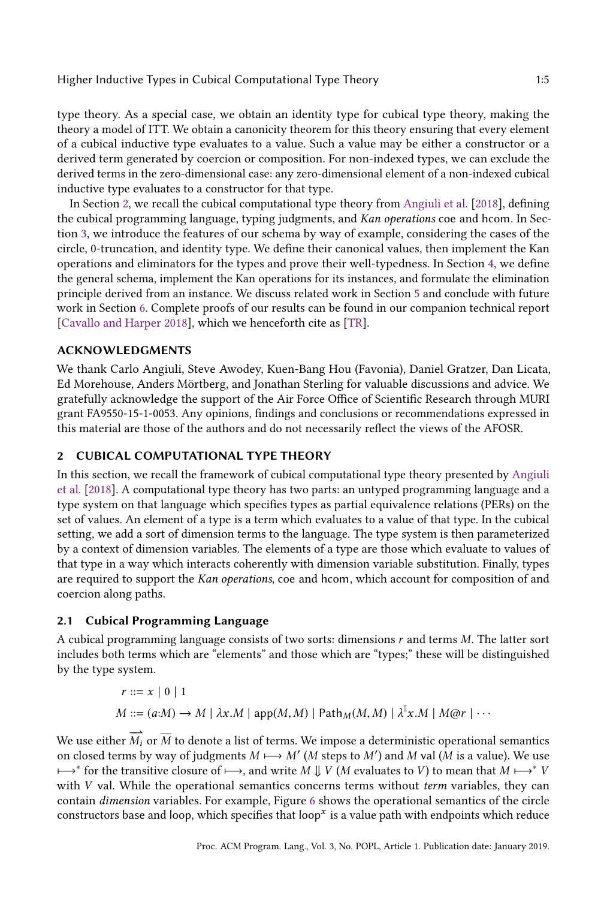type theory. As a special case, we obtain an identity type for cubical type theory, making the theory a model of ITT. We obtain a canonicity theorem for this theory ensuring that every element of a cubical inductive type evaluates to a value. Such a value may be either a constructor or a derived term generated by coercion or composition. For non-indexed types, we can exclude the derived terms in the zero-dimensional case: any zero-dimensional element of a non-indexed cubical inductive type evaluates to a constructor for that type.

In Section [2,](#page-4-0) we recall the cubical computational type theory from [Angiuli et al.](#page-25-2) [\[2018\]](#page-25-2), defining the cubical programming language, typing judgments, and Kan operations coe and hcom. In Section [3,](#page-9-0) we introduce the features of our schema by way of example, considering the cases of the circle, 0-truncation, and identity type. We define their canonical values, then implement the Kan operations and eliminators for the types and prove their well-typedness. In Section [4,](#page-16-0) we define the general schema, implement the Kan operations for its instances, and formulate the elimination principle derived from an instance. We discuss related work in Section [5](#page-23-0) and conclude with future work in Section [6.](#page-25-3) Complete proofs of our results can be found in our companion technical report [\[Cavallo and Harper](#page-26-9) [2018\]](#page-26-9), which we henceforth cite as [\[TR\]](#page-26-9).

# ACKNOWLEDGMENTS

We thank Carlo Angiuli, Steve Awodey, Kuen-Bang Hou (Favonia), Daniel Gratzer, Dan Licata, Ed Morehouse, Anders Mörtberg, and Jonathan Sterling for valuable discussions and advice. We gratefully acknowledge the support of the Air Force Office of Scientific Research through MURI grant FA9550-15-1-0053. Any opinions, findings and conclusions or recommendations expressed in this material are those of the authors and do not necessarily reflect the views of the AFOSR.

# <span id="page-4-0"></span>2 CUBICAL COMPUTATIONAL TYPE THEORY

In this section, we recall the framework of cubical computational type theory presented by [Angiuli](#page-25-2) [et al.](#page-25-2) [\[2018\]](#page-25-2). A computational type theory has two parts: an untyped programming language and a type system on that language which specifies types as partial equivalence relations (PERs) on the set of values. An element of a type is a term which evaluates to a value of that type. In the cubical setting, we add a sort of dimension terms to the language. The type system is then parameterized by a context of dimension variables. The elements of a type are those which evaluate to values of that type in a way which interacts coherently with dimension variable substitution. Finally, types are required to support the Kan operations, coe and hcom, which account for composition of and coercion along paths.

# 2.1 Cubical Programming Language

A cubical programming language consists of two sorts: dimensions r and terms M. The latter sort includes both terms which are "elements" and those which are "types;" these will be distinguished by the type system.

$$
r ::= x | 0 | 1
$$
  

$$
M ::= (a:M) \rightarrow M | \lambda x.M | app(M, M) | Path_M(M, M) | \lambda^{T} x.M | M@r | \cdots
$$

We use either  $\overline{M_i}$  or  $\overline{M}$  to denote a list of terms. We impose a deterministic operational semantics on closed terms by way of judgments  $M \mapsto M'$  (*M* steps to *M'*) and *M* val ( $\overline{M}$  is a value). We use  $\mapsto^*$  for the transitive closure of  $\mapsto$  and write  $M \parallel V$  (*M* evaluates to *V*) to mean that  $M \mapsto^* V$  $\rightarrow^*$  for the transitive closure of  $\rightarrow$ , and write M  $\downarrow$  V (M evaluates to V) to mean that  $M \rightarrow^* V$ <br>with V val. While the operational semantics concerns terms without *term* variables, they can with  $V$  val. While the operational semantics concerns terms without *term* variables, they can contain dimension variables. For example, Figure [6](#page-5-0) shows the operational semantics of the circle constructors base and loop, which specifies that loop $^x$  is a value path with endpoints which reduce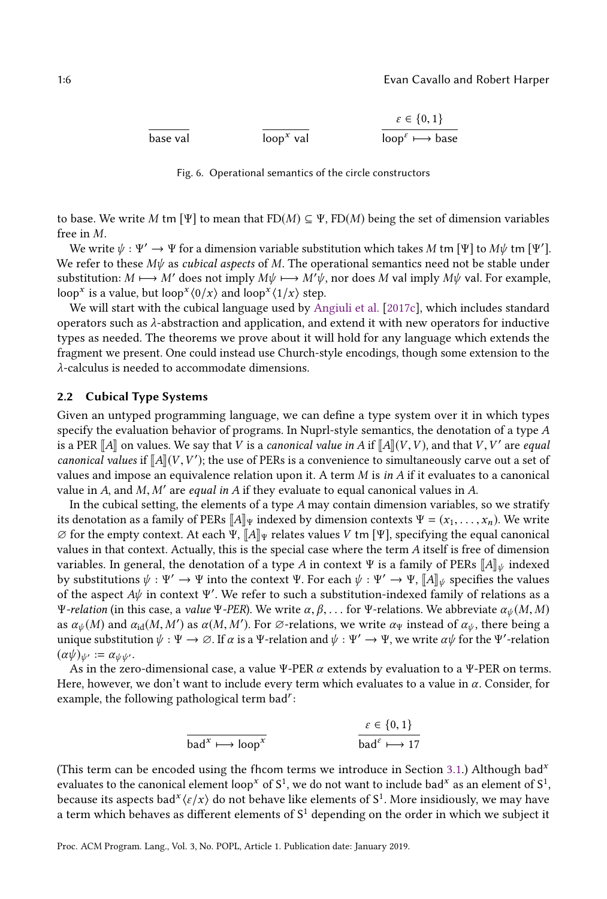<span id="page-5-0"></span>base val  $loop<sup>x</sup>$  val  $\varepsilon \in \{0,1\}$  $loop^{\varepsilon} \longmapsto$  base

Fig. 6. Operational semantics of the circle constructors

to base. We write M tm [Ψ] to mean that  $FD(M) \subseteq \Psi$ ,  $FD(M)$  being the set of dimension variables free in M.

We write  $\psi : \Psi' \to \Psi$  for a dimension variable substitution which takes M tm [Ψ] to  $M\psi$  tm [Ψ']. We refer to these  $M\psi$  as *cubical aspects* of M. The operational semantics need not be stable under substitution:  $M \mapsto M'$  does not imply  $M\psi \mapsto M'\psi$ , nor does M val imply  $M\psi$  val. For example, loop<sup>x</sup> is a value, but loop<sup>x</sup> $\langle 0/x \rangle$  and loop<sup>x</sup> $\langle 1/x \rangle$  step.<br>We will start with the cubical language used by Ar

We will start with the cubical language used by [Angiuli et al.](#page-25-4) [\[2017c\]](#page-25-4), which includes standard operators such as  $\lambda$ -abstraction and application, and extend it with new operators for inductive types as needed. The theorems we prove about it will hold for any language which extends the fragment we present. One could instead use Church-style encodings, though some extension to the λ-calculus is needed to accommodate dimensions.

#### 2.2 Cubical Type Systems

Given an untyped programming language, we can define a type system over it in which types specify the evaluation behavior of programs. In Nuprl-style semantics, the denotation of a type  $A$ is a PER  $\llbracket A \rrbracket$  on values. We say that V is a *canonical value in A* if  $\llbracket A \rrbracket(V, V)$ , and that V, V' are *equal* canonical values if  $\llbracket A \rrbracket(V, V')$ , the use of PERs is a convenience to simultaneously carve out a *canonical values* if  $\llbracket A \rrbracket(V, V')$ ; the use of PERs is a convenience to simultaneously carve out a set of values and impose an equivalence relation upon it. A term *M* is in *A* if it evaluates to a canonical values and impose an equivalence relation upon it. A term  $M$  is in  $A$  if it evaluates to a canonical value in  $A$ , and  $M$ ,  $M'$  are *equal in A* if they evaluate to equal canonical values in  $A$ .<br>In the cubical setting, the elements of a type  $A$  may contain dimension variables.

In the cubical setting, the elements of a type  $A$  may contain dimension variables, so we stratify its denotation as a family of PERs  $\mathbb{A}\llbracket \psi$  indexed by dimension contexts  $\Psi = (x_1, \dots, x_n)$ . We write  $\varnothing$  for the empty context. At each Ψ,  $\llbracket A \rrbracket_{\Psi}$  relates values V tm [Ψ], specifying the equal canonical values in that context. Actually, this is the special case where the term A itself is free of dimension variables. In general, the denotation of a type A in context Ψ is a family of PERs  $\llbracket A \rrbracket_{\psi}$  indexed by substitutions  $\psi : \Psi' \to \Psi$  into the context  $\Psi$ . For each  $\psi : \Psi' \to \Psi$ ,  $\llbracket A \rrbracket_{\psi}$  specifies the values of the aspect  $A\psi$  in context  $\Psi'$ . We refer to such a substitution-indexed family of relations as a of the aspect  $A\psi$  in context Ψ'. We refer to such a substitution-indexed family of relations as a<br>We relation (in this case, a value W-PER). We write  $\alpha, \beta$  for W-relations. We abbreviate  $\alpha$  (M-M) Ψ-relation (in this case, a value Ψ-PER). We write  $\alpha, \beta, \ldots$  for Ψ-relations. We abbreviate  $\alpha_{\psi}(M, M)$ as  $\alpha_{\psi}(M)$  and  $\alpha_{id}(M, M')$  as  $\alpha(M, M')$ . For  $\emptyset$ -relations, we write  $\alpha_{\Psi}$  instead of  $\alpha_{\psi}$ , there being a unique substitution  $\psi : \Psi \to \emptyset$  is a  $\Psi$ -relation and  $\psi : \Psi' \to \Psi$  we write  $\alpha_{\psi}$  for the  $\Psi'$ -rel unique substitution  $\psi : \Psi \to \emptyset$ . If  $\alpha$  is a  $\Psi$ -relation and  $\psi : \Psi' \to \Psi$ , we write  $\alpha \psi$  for the  $\Psi'$ -relation  $(\alpha \psi) \psi := \alpha \psi$ .  $(\alpha \psi)_{\psi'} := \alpha_{\psi \psi'}.$ 

As in the zero-dimensional case, a value Ψ-PER  $\alpha$  extends by evaluation to a Ψ-PER on terms. Here, however, we don't want to include every term which evaluates to a value in  $\alpha$ . Consider, for example, the following pathological term bad':

$$
\frac{\varepsilon \in \{0, 1\}}{\text{bad}^{\varepsilon} \longmapsto \text{loop}^{\mathbf{x}}}
$$

(This term can be encoded using the fhcom terms we introduce in Section [3.1.](#page-9-1)) Although bad<sup>x</sup> evaluates to the canonical element loop<sup>x</sup> of  $S^1$ , we do not want to include bad<sup>x</sup> as an element of  $S^1$ , because its aspects bad<sup>x</sup>  $\langle \varepsilon / x \rangle$  do not behave like elements of S<sup>1</sup>. More insidiously, we may have a term which behaves as different elements of  $S^1$  depending on the order in which we subject it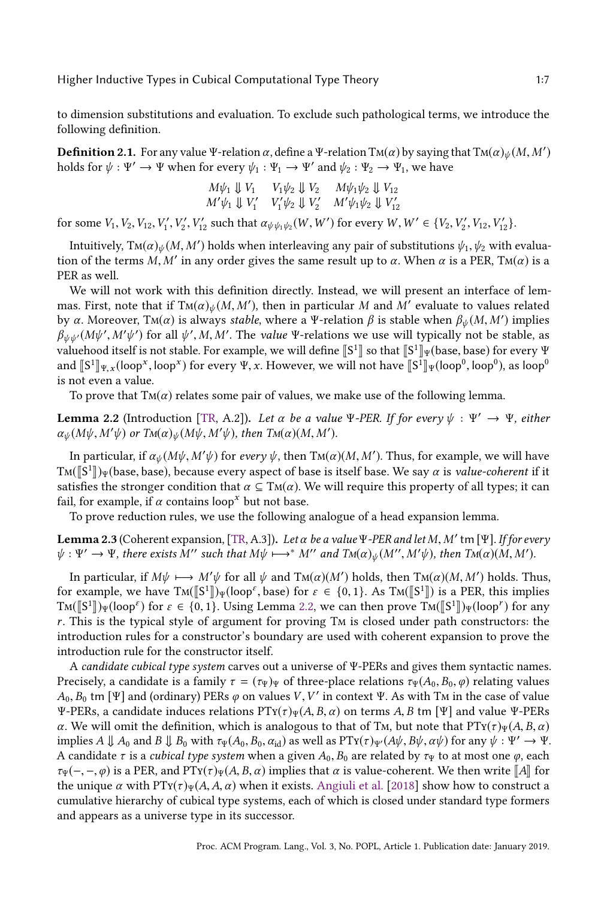to dimension substitutions and evaluation. To exclude such pathological terms, we introduce the following definition.

**Definition 2.1.** For any value Ψ-relation  $\alpha$ , define a Ψ-relation  $TM(\alpha)$  by saying that  $TM(\alpha)_{\psi}(M, M')$ <br>holds for  $\psi \colon \Psi' \to \Psi$  when for every  $\psi \colon \Psi \to \Psi'$  and  $\psi \colon \Psi \to \Psi'$ , we have holds for  $\psi : \Psi' \to \Psi$  when for every  $\psi_1 : \Psi_1 \to \Psi'$  and  $\psi_2 : \Psi_2 \to \Psi_1$ , we have

$$
M\psi_1 \Downarrow V_1 \qquad V_1\psi_2 \Downarrow V_2 \qquad M\psi_1\psi_2 \Downarrow V_{12}
$$
  

$$
M'\psi_1 \Downarrow V_1' \qquad V_1'\psi_2 \Downarrow V_2' \qquad M'\psi_1\psi_2 \Downarrow V_{12}'
$$

for some  $V_1, V_2, V_{12}, V'_1, V'_2$  $v_2', V$  $V'_{12}$  such that  $\alpha_{\psi\psi_1\psi_2}(W, W')$  for every  $W, W' \in \{V_2, V'_2, V_{12}, V'_{12}\}.$ 

Intuitively,  $\text{TM}(\alpha)_{\psi}(M, M')$  holds when interleaving any pair of substitutions  $\psi_1, \psi_2$  with evaluation of the terms  $M$ ,  $M'$  in any order gives the same result up to  $\alpha$ . When  $\alpha$  is a PER,  $\text{TM}(\alpha)$  is a PER as well PER as well.

We will not work with this definition directly. Instead, we will present an interface of lemmas. First, note that if  $\text{TM}(\alpha)_{\psi}(M, M')$ , then in particular M and  $M'$  evaluate to values related<br>by  $\alpha$  Moreover  $\text{TM}(\alpha)$  is always *stable* where a  $\Psi$ -relation  $\beta$  is stable when  $\beta_{\psi}(M, M')$  implies by α. Moreover,  $\text{TM}(\alpha)$  is always stable, where a Ψ-relation  $\beta$  is stable when  $\beta_{\psi}(M, M')$  implies  $\beta_{\psi}(M, M')$  for all  $\psi'$   $M M'$ . The value Ψ-relations we use will typically not be stable as  $\beta_{\psi\psi'}(M\psi', M'\psi')$  for all  $\psi', M, M'$ . The value  $\Psi$ -relations we use will typically not be stable, as valuehood itself is not stable. For example, we will define  $\llbracket S^1 \rrbracket$  so that  $\llbracket S^1 \rrbracket$  (base, base) for every  $\Psi$ <br>and  $\llbracket S^1 \rrbracket$  (loop<sup>2</sup>) as loop<sup>2</sup>) for every  $\Psi \times$  However we will not have  $\llbracket S^1 \rrbracket$  ( and  $\llbracket S^1 \rrbracket_{\Psi, x} (\text{loop}^x, \text{loop}^x)$  for every  $\Psi, x$ . However, we will not have  $\llbracket S^1 \rrbracket_{\Psi} (\text{loop}^0, \text{loop}^0)$ , as  $\text{loop}^0$ <br>is not even a value is not even a value.

To prove that  $T_M(\alpha)$  relates some pair of values, we make use of the following lemma.

<span id="page-6-0"></span>**Lemma 2.2** (Introduction [\[TR,](#page-26-9) A.2]). Let  $\alpha$  be a value Ψ-PER. If for every  $\psi : \Psi' \to \Psi$ , either  $\alpha$  (Mth M'n) or  $T_M(\alpha)$  (Mth M'n) then  $T_M(\alpha)(M, M')$  $\alpha_{\psi}(M\psi, M'\psi)$  or  $T M(\alpha)_{\psi}(M\psi, M'\psi)$ , then  $T M(\alpha)(M, M').$ 

In particular, if  $\alpha_{\psi}(M\psi, M'\psi)$  for every  $\psi$ , then  $\text{TM}(\alpha)(M, M')$ . Thus, for example, we will have  $\alpha(\mathbb{R}^d)$ .  $\text{TM}(\llbracket \mathsf{S}^1 \rrbracket)$  (base, base), because every aspect of base is itself base. We say  $\alpha$  is *value-coherent* if it estimates the stronger condition that  $\alpha \subset \text{TM}(\alpha)$ . We will require this property of all types; i satisfies the stronger condition that  $\alpha \subseteq TM(\alpha)$ . We will require this property of all types; it can fail, for example, if  $\alpha$  contains loop<sup>x</sup> but not base.<br>To prove reduction rules, we use the following.

To prove reduction rules, we use the following analogue of a head expansion lemma.

<span id="page-6-1"></span>**Lemma 2.3** (Coherent expansion, [\[TR,](#page-26-9) A.3]). Let  $\alpha$  be a value Ψ-PER and let M, M' tm [Ψ]. If for every  $\psi : \Psi' \to \Psi$  there exists  $M''$  such that  $M\psi \mapsto^* M''$  and  $T_M(\alpha) \cdot (M'' M'\psi)$  then  $T_M(\alpha)(M \ M')$  $\psi: \Psi' \to \Psi$ , there exists  $M''$  such that  $M\psi \mapsto^* M''$  and  $T_M(\alpha)_{\psi}(M'', M'\psi)$ , then  $T_M(\alpha)(M, M')$ .

In particular, if  $M\psi \mapsto M'\psi$  for all  $\psi$  and  $\text{TM}(\alpha)(M')$  holds, then  $\text{TM}(\alpha)(M, M')$  holds. Thus,  $\text{Riem}(\alpha)(M, M')$  holds. Thus,  $\text{Riem}(\alpha)(M, M')$  holds. Thus,  $\text{Riem}(\alpha)(M, M')$  holds. for example, we have  $\text{TM}(\llbracket S^1 \rrbracket) \psi(\text{loop}^{\epsilon})$  has  $\epsilon \in \{0, 1\}$ . As  $\text{TM}(\llbracket S^1 \rrbracket)$  is a PER, this implies  $\text{TM}(\llbracket S^1 \rrbracket) \psi(\text{loop}^{\epsilon})$  for  $\epsilon \in \{0, 1\}$ . Heing Lemma 2.2 we can then prove  $\text{TM}(\llbracket S^1 \rrbracket)$  $\text{TM}(\llbracket S^1 \rrbracket) \Psi(\text{loop}^{\epsilon})$  for  $\varepsilon \in \{0, 1\}$ . Using Lemma [2.2,](#page-6-0) we can then prove  $\text{TM}(\llbracket S^1 \rrbracket) \Psi(\text{loop}^{\epsilon})$  for any r. This is the typical style of argument for proving TM is closed under path constructors; the  $r$ . This is the typical style of argument for proving TM is closed under path constructors: the introduction rules for a constructor's boundary are used with coherent expansion to prove the introduction rule for the constructor itself.

<sup>A</sup> candidate cubical type system carves out a universe of Ψ-PERs and gives them syntactic names. Precisely, a candidate is a family  $\tau = (\tau_{\Psi})_{\Psi}$  of three-place relations  $\tau_{\Psi}(A_0, B_0, \varphi)$  relating values  $A_0$ ,  $B_0$  tm [Ψ] and (ordinary) PERs  $\varphi$  on values V, V' in context Ψ. As with TM in the case of value  $\Psi$ -PERs a candidate induces relations  $PTV(x)$  (4, B,  $\alpha$ ) on terms 4, B tm [Ψ] and value  $\Psi$ -PERs Ψ-PERs, a candidate induces relations  $PTY(\tau)_{\Psi}(A, B, \alpha)$  on terms A, B tm [Ψ] and value Ψ-PERs α. We will omit the definition, which is analogous to that of TM, but note that  $PTY(\tau)\psi(A, B, \alpha)$ implies  $A \Downarrow A_0$  and  $B \Downarrow B_0$  with  $\tau_{\Psi}(A_0, B_0, \alpha_{\text{id}})$  as well as  $\text{PTv}(\tau)_{\Psi'}(A\psi, B\psi, \alpha\psi)$  for any  $\psi : \Psi' \to \Psi$ .<br>A candidate  $\tau$  is a cubical type system when a given  $A_0$ .  $B_0$  are related by  $\tau_{\Psi}$  to a A candidate  $\tau$  is a *cubical type system* when a given  $A_0$ ,  $B_0$  are related by  $\tau_\Psi$  to at most one  $\varphi$ , each  $\tau_{\Psi}(-,-,\varphi)$  is a PER, and PTy( $\tau$ ) $\psi(A, B, \alpha)$  implies that  $\alpha$  is value-coherent. We then write  $\llbracket A \rrbracket$  for the unique  $\alpha$  with PTy( $\tau$ ) $\psi(A, A, \alpha)$  when it exists. [Angiuli et al.](#page-25-2) [\[2018\]](#page-25-2) show how to construct a cumulative hierarchy of cubical type systems, each of which is closed under standard type formers and appears as a universe type in its successor.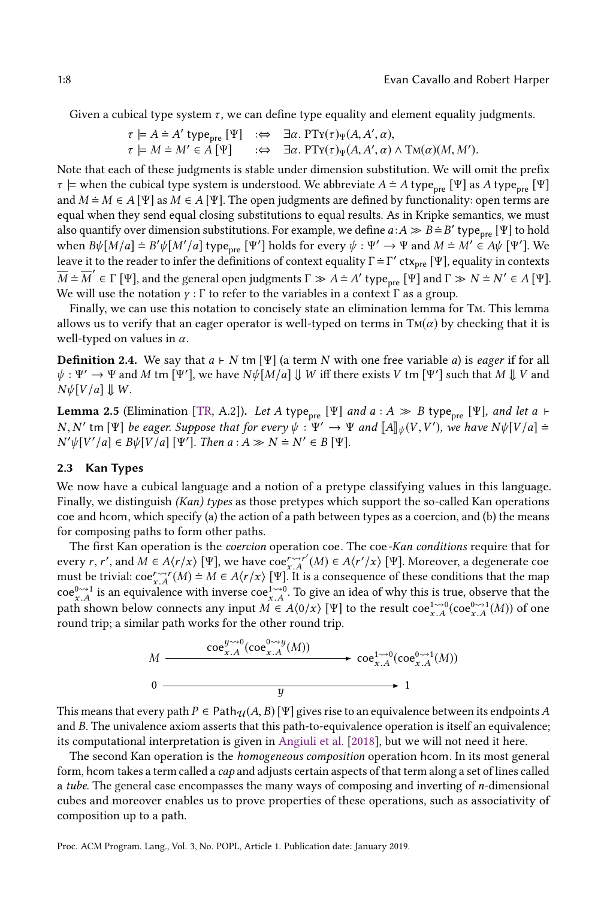Given a cubical type system  $\tau$ , we can define type equality and element equality judgments.

$$
\tau \models A \doteq A' \text{ type}_{pre} [\Psi] \iff \exists \alpha. \text{ PTr}(\tau)_{\Psi}(A, A', \alpha),
$$

$$
\tau \models M \doteq M' \in A [\Psi] \iff \exists \alpha. \text{ PTr}(\tau)_{\Psi}(A, A', \alpha) \land \text{Im}(\alpha)(M, M').
$$
  
Note that each of these judgments is stable under dimension substitution. We will omit the prefix

 $\tau \models$  when the cubical type system is understood. We abbreviate  $A \doteq A$  type<sub>pre</sub> [Ψ] as A type<sub>pre</sub> [Ψ] and  $M \doteq M \in A \Psi$  as  $M \in A \Psi$ . The open judgments are defined by functionality: open terms are equal when they send equal closing substitutions to equal results. As in Kripke semantics, we must also quantify over dimension substitutions. For example, we define  $a: A \gg B = B'$  type<sub>pre</sub> [Ψ] to hold<br>when  $B^{\prime\prime}(M/a) = B^{\prime\prime}(M/a)$  type [W'] holds for every  $\psi : W' \to W$  and  $M = M' \subset A\psi$  [W'] We when  $B\psi[M/a] \doteq B'\psi[M'/a]$  type<sub>pre</sub> [Ψ'] holds for every  $\psi : \Psi' \to \Psi$  and  $M \doteq M' \in A\psi$  [Ψ']. We leave it to the reader to infer the definitions of context equality  $\Gamma \doteq \Gamma'$  sty. [W] equality in contexts leave it to the reader to infer the definitions of context equality  $\Gamma = \Gamma'$  ctx<sub>pre</sub> [Ψ], equality in contexts  $\overline{M} \doteq \overline{M}' \in \Gamma [\Psi]$ , and the general open judgments  $\Gamma \gg A \doteq A'$  type<sub>pre</sub> [Ψ] and  $\Gamma \gg N \doteq N' \in A [\Psi]$ .<br>We will use the notation  $\chi \cdot \Gamma$  to refer to the variables in a context  $\Gamma$  as a group. We will use the notation  $\gamma : \Gamma$  to refer to the variables in a context  $\Gamma$  as a group.

Finally, we can use this notation to concisely state an elimination lemma for Tm. This lemma allows us to verify that an eager operator is well-typed on terms in  $TM(\alpha)$  by checking that it is well-typed on values in  $\alpha$ .

**Definition 2.4.** We say that  $a \vdash N$  tm [Ψ] (a term N with one free variable a) is eager if for all  $\psi: \Psi' \to \Psi$  and M tm [ $\Psi'$ ], we have  $N\psi[M/a] \Downarrow W$  iff there exists V tm [ $\Psi'$ ] such that M  $\Psi$  V and  $N\psi[V/a] \Downarrow W$  $N\psi[V/a] \parallel W$ .

**Lemma 2.5** (Elimination [\[TR,](#page-26-9) A.2]). Let A type<sub>pre</sub> [Ψ] and  $a : A \gg B$  type<sub>pre</sub> [Ψ], and let  $a \vdash$ - . , . .<br>N' 141 ' tm [Ψ] be eager. Suppose that for every  $\psi : \Psi' \to \Psi$  and  $[[A]]_{\psi}(V, V')$ , we have  $N\psi[V/a] \doteq$ <br> $V'/a] \in B\psi[V/a]$  [W'] Then  $a: A \to N' \in B$  [W]  $\mathscr{C}[\mathit{V}'/a] \in B\psi[\mathit{V}/a] \; [\Psi']$ . Then  $a : A \gg N = N' \in B \; [\Psi]$ .

# 2.3 Kan Types

We now have a cubical language and a notion of a pretype classifying values in this language. Finally, we distinguish (Kan) types as those pretypes which support the so-called Kan operations coe and hcom, which specify (a) the action of a path between types as a coercion, and (b) the means for composing paths to form other paths.

The first Kan operation is the *coercion* operation coe. The coe-Kan conditions require that for every r, r', and  $M \in A\langle r/x \rangle$  [Ψ], we have  $\cos^{r \rightarrow r'}(M) \in A\langle r'/x \rangle$  [Ψ]. Moreover, a degenerate coerwiting that the manner of these conditions that the manner must be trivial:  $\cos^{r\to r}(M) = M \in A\langle r/x \rangle$  [Ψ]. It is a consequence of these conditions that the map  $\cos^{0\rightsquigarrow 1}_{x_A}$  is an equivalence with inverse  $\cos^{1\rightsquigarrow 0}_{x_A}$ . To give an idea of why this is true, observe that the path shown below connects any input  $\widehat{M} \in A(0/x)$  [Ψ] to the result  $\cos_{x,A}^{1 \rightsquigarrow 0}(\cos_{x,A}^{0 \rightsquigarrow 1}(M))$  of one round tring a similar path works for the other round tring round trip; a similar path works for the other round trip.

$$
M \xrightarrow{\text{coe}_{X.A}^{y \leadsto 0}(\text{coe}_{X.A}^{0 \leadsto y}(M))} \text{coe}_{X.A}^{1 \leadsto 0}(\text{coe}_{X.A}^{0 \leadsto 1}(M))
$$
\n
$$
0 \xrightarrow{y} 1
$$

This means that every path  $P \in \text{Path}_{\mathcal{U}}(A, B)$  [Ψ] gives rise to an equivalence between its endpoints A<br>and B. The univalence axiom asserts that this path-to-equivalence operation is itself an equivalence: and B. The univalence axiom asserts that this path-to-equivalence operation is itself an equivalence; its computational interpretation is given in [Angiuli et al.](#page-25-2) [\[2018\]](#page-25-2), but we will not need it here.

The second Kan operation is the *homogeneous composition* operation hcom. In its most general form, hcom takes a term called a *cap* and adjusts certain aspects of that term along a set of lines called <sup>a</sup> tube. The general case encompasses the many ways of composing and inverting of n-dimensional cubes and moreover enables us to prove properties of these operations, such as associativity of composition up to a path.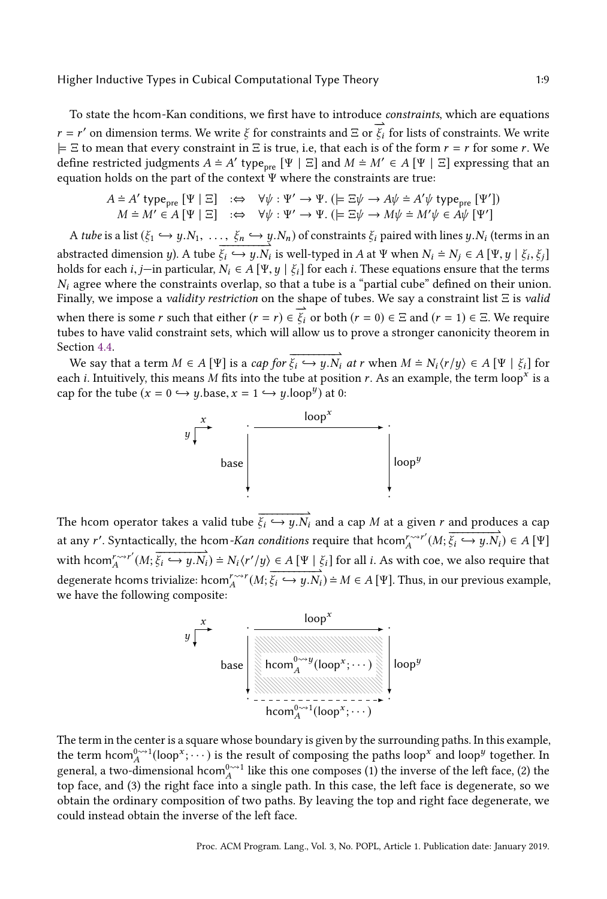To state the hcom-Kan conditions, we first have to introduce constraints, which are equations  $r = r'$  on dimension terms. We write  $\xi$  for constraints and  $\Xi$  or  $\overline{\xi_i}$  for lists of constraints. We write  $\vdash \Xi$  to mean that every constraint in  $\Xi$  is true, i.e. that each is of the form  $r = r$  for some  $r$ . We  $\models$   $\Xi$  to mean that every constraint in  $\Xi$  is true, i.e, that each is of the form  $r = r$  for some r. We define restricted judgments  $A = A'$  type<sub>pre</sub>  $[\Psi \mid \Xi]$  and  $M = M' \in A$   $[\Psi \mid \Xi]$  expressing that an equation holds on the part of the context  $\Psi$  where the contraints are true: equation holds on the part of the context  $\Psi$  where the constraints are true:

$$
A \doteq A' \text{ type}_{pre} [\Psi \mid \Xi] \Leftrightarrow \forall \psi : \Psi' \to \Psi. \ (\models \Xi \psi \to A\psi \doteq A'\psi \text{ type}_{pre} [\Psi'])
$$

$$
M \doteq M' \in A [\Psi \mid \Xi] \Leftrightarrow \forall \psi : \Psi' \to \Psi. \ (\models \Xi \psi \to M\psi \doteq M'\psi \in A\psi [\Psi'])
$$

A tube is a list  $(\xi_1 \hookrightarrow y.N_1, \ldots, \xi_n \hookrightarrow y.N_n)$  of constraints  $\xi_i$  paired with lines  $y.N_i$  (terms in an abstracted dimension y). A tube  $\overline{\xi_i} \hookrightarrow y_i N_i$  is well-typed in A at Ψ when  $N_i \doteq N_j \in A$  [Ψ, y |  $\xi_i$ ,  $\xi_j$ ]<br>holds for each i i–in particular  $N_i \in A$  [Ψ, y | ξ.] for each i. These equations ensure that the terms holds for each *i*, *j*—in particular,  $N_i \in A[\Psi, y \mid \xi_i]$  for each *i*. These equations ensure that the terms  $N_i$  agree where the constraints overlap, so that a tube is a "partial cube" defined on their union. Finally, we impose a validity restriction on the shape of tubes. We say a constraint list Ξ is valid when there is some r such that either  $(r = r) \in \frac{1}{\xi_i}$  or both  $(r = 0) \in \Xi$  and  $(r = 1) \in \Xi$ . We require tubes to have valid constraint sets, which will allow us to prove a stronger canonicity theorem in Section [4.4.](#page-23-1)

We say that a term  $M \in A \Psi$  is a cap for  $\overline{\xi_i \hookrightarrow \psi_i}$  at r when  $M \doteq N_i \langle r/\psi \rangle \in A \Psi \Psi$   $\overline{\xi_i}$  for each *i*. Intuitively, this means *M* fits into the tube at position *r*. As an example, the term loop<sup>x</sup> is a can for the tube  $(x - 0 \implies y \text{ base } x - 1 \implies y \text{ loop}^y)$  at 0. cap for the tube  $(x = 0 \hookrightarrow y$ .base,  $x = 1 \hookrightarrow y$ .loop<sup>y</sup>) at 0:



The hcom operator takes a valid tube  $\overrightarrow{\xi_i \hookrightarrow y.N_i}$  and a cap M at a given r and produces a cap at any r'. Syntactically, the hcom-Kan conditions require that  $\hom_{A}^{r \to r'}(M; \overline{\xi_i} \hookrightarrow y.N_i) \in A[\Psi]$ with hcom $\lim_{A}^{r \to r'} (M; \overline{\xi_i \hookrightarrow y \cdot N_i}) = N_i \langle r'/y \rangle \in A \left[ \Psi \mid \xi_i \right]$  for all *i*. As with  $A^{r \rightarrow r'}(M; \overline{\xi_i \hookrightarrow y. N_i}) = N_i \langle r'/y \rangle \in A [\Psi | \xi_i]$  for all *i*. As with coe, we also require that degenerate hcoms trivialize: hcom $\chi^{\alpha\rightarrow r}(M; \overline{\xi_i} \hookrightarrow y.N_i) = M \in A$  [Ψ]. Thus, in our previous example, we have the following composite:



The term in the center is a square whose boundary is given by the surrounding paths. In this example, the term hcom<sup>0</sup><sup>→1</sup>(loop<sup>x</sup>; · · · ) is the result of composing the paths loop<sup>x</sup> and loop<sup>y</sup> together. In general, a two-dimensional hcom<sup>0</sup><sup> $\gamma$ 1</sup> like this one composes (1) the inverse of the left face, (2) the top face, and (3) the right face into a single path. In this case, the left face is degenerate, so we obtain the ordinary composition of two paths. By leaving the top and right face degenerate, we could instead obtain the inverse of the left face.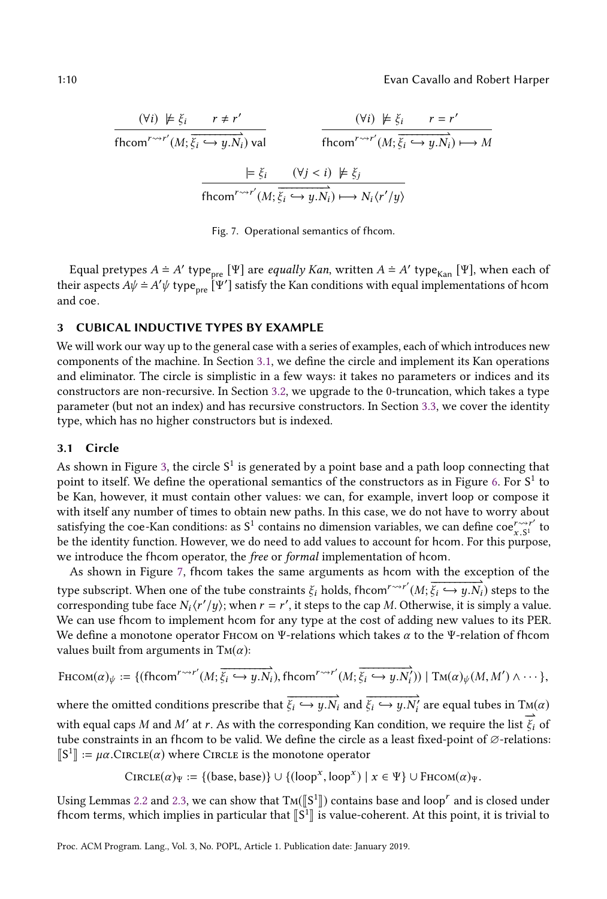1:10 Evan Cavallo and Robert Harper

$$
\frac{(\forall i) \not\models \xi_i \qquad r \neq r'}{\text{fhcom}^{r \leadsto r'}(M; \overline{\xi_i \hookrightarrow y.N_i}) \text{ val}} \qquad \qquad \frac{(\forall i) \not\models \xi_i \qquad r = r'}{\text{fhcom}^{r \leadsto r'}(M; \overline{\xi_i \hookrightarrow y.N_i}) \longmapsto M}
$$
\n
$$
\qquad \qquad \frac{\models \xi_i \qquad (\forall j < i) \not\models \xi_j}{\text{fhcom}^{r \leadsto r'}(M; \overline{\xi_i \hookrightarrow y.N_i}) \longmapsto N_i \langle r'/y \rangle}
$$

Fig. 7. Operational semantics of fhcom.

Equal pretypes  $A \doteq A'$  type<sub>pre</sub> [Ψ] are *equally Kan*, written  $A \doteq A'$  type<sub>Kan</sub> [Ψ], when each of their aspects  $A\psi = A'\psi$  type<sub>pre</sub> [Ψ'] satisfy the Kan conditions with equal implementations of hcom and coe.

## <span id="page-9-0"></span>3 CUBICAL INDUCTIVE TYPES BY EXAMPLE

We will work our way up to the general case with a series of examples, each of which introduces new components of the machine. In Section [3.1,](#page-9-1) we define the circle and implement its Kan operations and eliminator. The circle is simplistic in a few ways: it takes no parameters or indices and its constructors are non-recursive. In Section [3.2,](#page-11-0) we upgrade to the 0-truncation, which takes a type parameter (but not an index) and has recursive constructors. In Section [3.3,](#page-13-0) we cover the identity type, which has no higher constructors but is indexed.

# <span id="page-9-1"></span>3.1 Circle

As shown in Figure [3,](#page-3-0) the circle  $S^1$  is generated by a point base and a path loop connecting that point to itself. We define the operational semantics of the constructors as in Figure [6.](#page-5-0) For  $S^1$  to be Kan, however, it must contain other values: we can, for example, invert loop or compose it with itself any number of times to obtain new paths. In this case, we do not have to worry about satisfying the coe-Kan conditions: as  $S^1$  contains no dimension variables, we can define coe<sup>r</sup> $\frac{S^T S^T}{S}$  to be the identity function. However, we do need to add values to account for hcom. For this purpose, we introduce the fhcom operator, the *free* or *formal* implementation of hcom.

As shown in Figure [7,](#page-9-2) fhcom takes the same arguments as hcom with the exception of the type subscript. When one of the tube constraints  $\xi_i$  holds, fhcom<sup>r</sup><sup>→r'</sup>( $M$ ;  $\overline{\xi_i} \hookrightarrow y.N_i$ ) steps to the corresponding tube face  $N/r'/w$ ; when  $r-r'$  it steps to the cap M. Otherwise, it is simply a value corresponding tube face  $N_i(r'/y)$ ; when  $r = r'$ , it steps to the cap M. Otherwise, it is simply a value.<br>We can use the complement heap for any type at the cost of adding new values to its PER. We can use fhcom to implement hcom for any type at the cost of adding new values to its PER. We define a monotone operator FHCOM on Ψ-relations which takes  $\alpha$  to the Ψ-relation of fhcom values built from arguments in  $T_M(\alpha)$ :

$$
\text{FHCOM}(\alpha)_{\psi} := \{ (\text{fhcom}^{r \leadsto r'}(M; \overline{\xi_i \hookrightarrow y.N_i}), \text{fhcom}^{r \leadsto r'}(M; \overline{\xi_i \hookrightarrow y.N_i'})) \mid \text{TM}(\alpha)_{\psi}(M, M') \land \cdots \},
$$

where the omitted conditions prescribe that  $\overrightarrow{\xi_i \hookrightarrow y.N_i}$  and  $\overrightarrow{\xi_i \hookrightarrow y.N_i'}$  are equal tubes in T<sub>M</sub>(*α*) with equal caps M and M' at r. As with the corresponding Kan condition, we require the list  $\xi_i$  of<br>type constraints in an fhoom to be valid. We define the circle as a least fixed-point of  $\alpha$ -relations: tube constraints in an fhcom to be valid. We define the circle as a least fixed-point of ∅-relations:  $[\![S^1]\!] := \mu \alpha$ . CIRCLE $(\alpha)$  where CIRCLE is the monotone operator

$$
\text{CIRCLE}(\alpha)_{\Psi} := \{(\text{base}, \text{base})\} \cup \{(\text{loop}^x, \text{loop}^x) \mid x \in \Psi\} \cup \text{FHCOM}(\alpha)_{\Psi}.
$$

Using Lemmas [2.2](#page-6-0) and [2.3,](#page-6-1) we can show that  $T_M(\llbracket S^1 \rrbracket)$  contains base and loop<sup>r</sup> and is closed under<br>from terms, which implies in perticular that  $\llbracket S^1 \rrbracket$  is value seberant. At this point, it is trivial to fhcom terms, which implies in particular that  $\llbracket S^1 \rrbracket$  is value-coherent. At this point, it is trivial to

<span id="page-9-2"></span>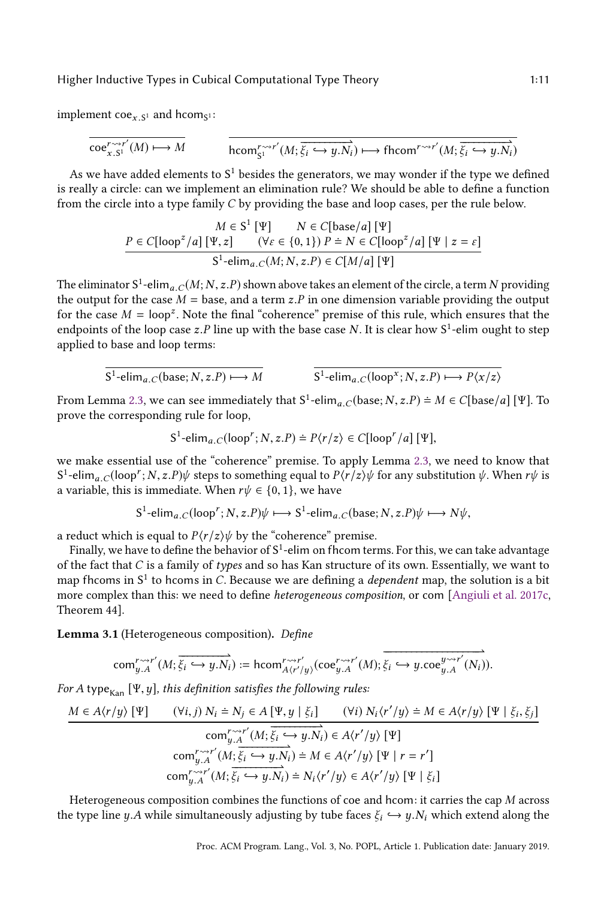implement  $\operatorname{coe}_{x \ldotp S^1}$  and  $\operatorname{hcom}_{S^1}$ :

$$
\overrightarrow{\text{coe}_{x,S^1}^{r\rightsquigarrow r'}(M)\longmapsto M} \qquad \qquad \overrightarrow{\text{hcom}_{S^1}^{r\rightsquigarrow r'}(M;\overrightarrow{\xi_i \hookrightarrow y.N_i})} \longmapsto \text{fhcom}^{r\rightsquigarrow r'}(M;\overrightarrow{\xi_i \hookrightarrow y.N_i})
$$

As we have added elements to  $S^1$  besides the generators, we may wonder if the type we defined is really a circle: can we implement an elimination rule? We should be able to define a function from the circle into a type family C by providing the base and loop cases, per the rule below.

$$
M \in S^1 [\Psi] \qquad N \in C[\text{base}/a] [\Psi]
$$

$$
\frac{P \in C[\text{loop}^z/a] [\Psi, z] \qquad (\forall \varepsilon \in \{0, 1\}) P \doteq N \in C[\text{loop}^z/a] [\Psi | z = \varepsilon]}{S^1 \text{-elim}_{a.C}(M; N, z.P) \in C[M/a] [\Psi]}
$$

The eliminator  $S^1$ -elim<sub>a.C</sub>(M; N, z.P) shown above takes an element of the circle, a term N providing<br>the output for the case  $M -$  base, and a term z P in one dimension variable providing the output the output for the case  $M =$  base, and a term  $z.P$  in one dimension variable providing the output for the case  $M = \text{loop}^z$ . Note the final "coherence" premise of this rule, which ensures that the endpoints of the loop case  $z \in P$  line up with the base case  $N$ . It is clear bow  $S^1$ -elim ought to step endpoints of the loop case  $z.P$  line up with the base case N. It is clear how  $S^1$ -elim ought to step annlied to base and loop terms. applied to base and loop terms:

$$
\overline{S^1\text{-elim}_{a.C}(\text{base}; N, z.P)} \longmapsto M \qquad \qquad \overline{S^1\text{-elim}_{a.C}(\text{loop}^x; N, z.P)} \longmapsto P\langle x/z \rangle
$$

From Lemma [2.3,](#page-6-1) we can see immediately that  $S^1$ -elim<sub>a.C</sub>(base;  $N$ ,  $z.P$ )  $\cong M \in C[\text{base}/a]$  [Ψ]. To prove the corresponding rule for loop,

$$
S^1\text{-elim}_{a.C}(\text{loop}^r; N, z.P) \doteq P\langle r/z \rangle \in C[\text{loop}^r/a] [\Psi],
$$

we make essential use of the "coherence" premise. To apply Lemma [2.3,](#page-6-1) we need to know that S<sup>1</sup>-elim<sub>a.C</sub>(loop<sup>r</sup>; N, z.P) $\psi$  steps to something equal to  $P(r/z)\psi$  for any substitution  $\psi$ . When r $\psi$  is a variable, this is immediate. When  $r\psi \in \{0, 1\}$ , we have

$$
S^1\text{-elim}_{a.C}(\text{loop}^r; N, z.P)\psi \longmapsto S^1\text{-elim}_{a.C}(\text{base}; N, z.P)\psi \longmapsto N\psi,
$$

a reduct which is equal to  $P(r/z)\psi$  by the "coherence" premise.

Finally, we have to define the behavior of S<sup>1</sup>-elim on fhcom terms. For this, we can take advantage of the fact that C is a family of types and so has Kan structure of its own. Essentially, we want to map fhcoms in  $S^1$  to hcoms in C. Because we are defining a *dependent* map, the solution is a bit<br>more complex than this, we need to define *heterogeneous composition* or com [Angiuli et al. 2017c more complex than this: we need to define heterogeneous composition, or com [\[Angiuli et al.](#page-25-4) [2017c,](#page-25-4) Theorem 44].

<span id="page-10-0"></span>Lemma 3.1 (Heterogeneous composition). Define

$$
\operatorname{com}_{y.A}^{r \rightsquigarrow r'}(M; \overrightarrow{\xi_i \hookrightarrow y.N_i}) := \operatorname{hcom}_{A(r'/y)}^{r \rightsquigarrow r'}(\operatorname{coe}_{y.A}^{r \rightsquigarrow r'}(M); \overrightarrow{\xi_i \hookrightarrow y.\operatorname{coe}_{y.A}^{y \rightsquigarrow r'}(N_i)).
$$

For A type<sub>Kan</sub> [Ψ, y], this definition satisfies the following rules:

$$
M \in A\langle r/y \rangle \left[\Psi\right] \qquad (\forall i, j) \ N_i = N_j \in A \left[\Psi, y \mid \xi_i\right] \qquad (\forall i) \ N_i \langle r'/y \rangle \doteq M \in A\langle r/y \rangle \left[\Psi \mid \xi_i, \xi_j\right]
$$

$$
\text{com}_{y.A}^{r \sim r'} (M; \overline{\xi_i \hookrightarrow y.N_i}) \in A\langle r'/y \rangle \left[\Psi\right]
$$

$$
\text{com}_{y.A}^{r \sim r'} (M; \overline{\xi_i \hookrightarrow y.N_i}) \doteq M \in A\langle r'/y \rangle \left[\Psi \mid r = r'\right]
$$

$$
\text{com}_{y.A}^{r \sim r'} (M; \overline{\xi_i \hookrightarrow y.N_i}) \doteq N_i \langle r'/y \rangle \in A\langle r'/y \rangle \left[\Psi \mid \xi_i\right]
$$

Heterogeneous composition combines the functions of coe and hcom: it carries the cap M across the type line y.A while simultaneously adjusting by tube faces  $\xi_i \leftrightarrow y_i N_i$  which extend along the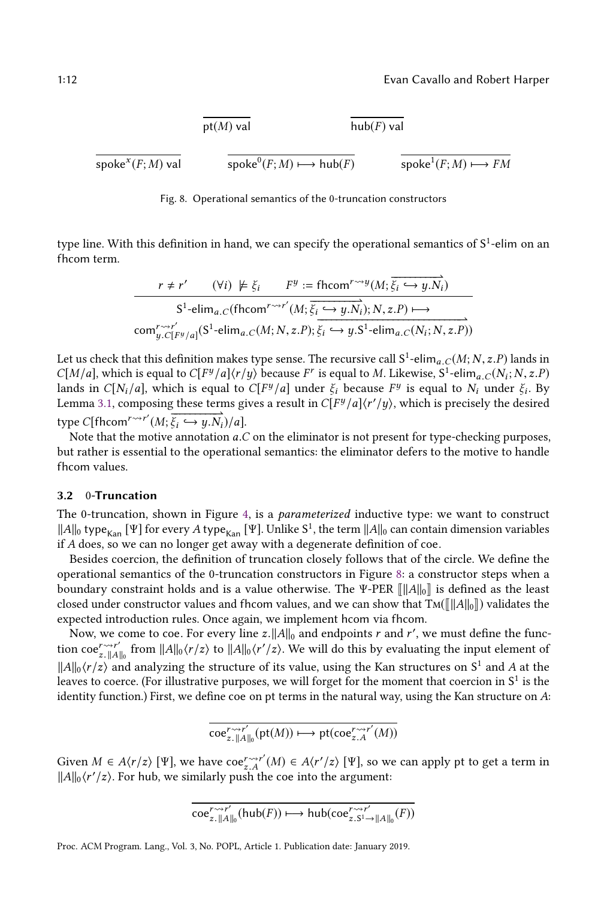$$
pt(M)
$$
 val  $hub(F)$  val

<span id="page-11-1"></span> $\mathsf{spole}^x(F;M)$  val  $\qquad \qquad \mathsf{spole}^0$  $\overline{\text{spoke}^0(F;M) \longmapsto \text{hub}(F)}$  $\text{spoke}^1(F; M) \longmapsto FM$ 

Fig. 8. Operational semantics of the 0-truncation constructors

type line. With this definition in hand, we can specify the operational semantics of  $S^1$ -elim on an fhcom term.

$$
\frac{r \neq r' \quad (\forall i) \not\models \xi_i \qquad F^y := \text{fhcom}^{r \leadsto y}(M; \overline{\xi_i \hookrightarrow y.N_i})}{S^1\text{-elim}_{a.C}(\text{fhcom}^{r \leadsto r'}(M; \overline{\xi_i \hookrightarrow y.N_i}); N, z.P) \longmapsto}
$$
  
com<sub>y.C[F^y/a]</sub> $(S^1\text{-elim}_{a.C}(M; N, z.P); \overline{\xi_i \hookrightarrow y.S^1\text{-elim}_{a.C}(N_i; N, z.P))})$ 

Let us check that this definition makes type sense. The recursive call  $S^1$ -elim<sub>a.C</sub>(M; N, z.P) lands in  $C[M/a]$  which is equal to  $C[F\#/a](r/a)$  because  $F'$  is equal to M. Likewise  $S^1$ -elim $a(N:N \neq P)$  $C[M/a]$ , which is equal to  $C[F^y/a]\langle r/y\rangle$  because  $F^r$  is equal to M. Likewise,  $S^1$ -elim<sub>a.C</sub>(N<sub>i</sub>; N, z.P)<br>lands in  $C[N_c/a]$  which is equal to  $C[F^y/a]$  under  $\zeta$ , because  $F^y$  is equal to M, under  $\zeta$ . By lands in  $C[N_i/a]$ , which is equal to  $C[F^y/a]$  under  $\xi_i$  because  $F^y$  is equal to  $N_i$  under  $\xi_i$ . By Lemma [3.1,](#page-10-0) composing these terms gives a result in  $C[F^y/a]\langle r'/y\rangle$ , which is precisely the desired type C[fhcom<sup>r</sup><sup>→+r'</sup>( $M; \overline{\xi_i} \hookrightarrow y. N_i$ )/a].<br>Note that the motive annotation a (

Note that the motive annotation a.C on the eliminator is not present for type-checking purposes, but rather is essential to the operational semantics: the eliminator defers to the motive to handle fhcom values.

#### <span id="page-11-0"></span>3.2 0-Truncation

The 0-truncation, shown in Figure [4,](#page-3-1) is a *parameterized* inductive type: we want to construct  $||A||_0$  type<sub>Kan</sub> [Ψ] for every A type<sub>Kan</sub> [Ψ]. Unlike  $S^1$ , the term  $||A||_0$  can contain dimension variables if A does, so we can no longer get away with a degenerate definition of coe.

Besides coercion, the definition of truncation closely follows that of the circle. We define the operational semantics of the 0-truncation constructors in Figure [8:](#page-11-1) a constructor steps when a boundary constraint holds and is a value otherwise. The Ψ-PER  $\|\|A\|_0\|$  is defined as the least closed under constructor values and fhcom values, and we can show that  $\text{TM}(\|A\|_0)\$  validates the expected introduction rules. Once again, we implement hcom via fhcom.

Now, we come to coe. For every line  $z \cdot ||A||_0$  and endpoints r and r', we must define the func-<br>n coe<sup>r</sup> r' from  $||A||_0$  (r'/z) to  $||A||_0$  (r'/z). We will do this by evaluating the input element of tion coe<sup>r</sup><sup>→r'</sup><sub>l</sub>|A||<sub>0</sub>  $\langle r/z \rangle$  to  $||A||_0 \langle r'/z \rangle$ . We will do this by evaluating the input element of  $||A||_0 \langle r/z \rangle$  and analyzing the structure of its value, using the Kan structures on S<sup>1</sup> and A at the leaves to coerce (For illustrative purposes we will forget for the moment that coercion in S<sup>1</sup> is the leaves to coerce. (For illustrative purposes, we will forget for the moment that coercion in  $S^1$  is the identity function.) First, we define coe on pt terms in the natural way, using the Kan structure on A:

$$
\overline{\operatorname{coe}^{r\leadsto r'}_{z.\|A\|_0}(\operatorname{pt}(M)) \longmapsto \operatorname{pt}(\operatorname{coe}^{r\leadsto r'}_{z.A}(M))}
$$

Given  $M \in A\langle r/z \rangle$  [Ψ], we have  $\cos z \cdot A \cdot \frac{r}{r'}(M) \in A\langle r'/z \rangle$  [Ψ], so we can apply pt to get a term in <br> $\|A\|_{\leq r'/z}$ . For bub, we similarly push the coe into the argument:  $||A||_0 \langle r'/z \rangle$ . For hub, we similarly push the coe into the argument:

$$
\overline{\text{coe}^{r\leadsto r'}_{z.||A||_0}(\text{hub}(F)) \longmapsto \text{hub}(\text{coe}^{r\leadsto r'}_{z.S^1 \to ||A||_0}(F))}
$$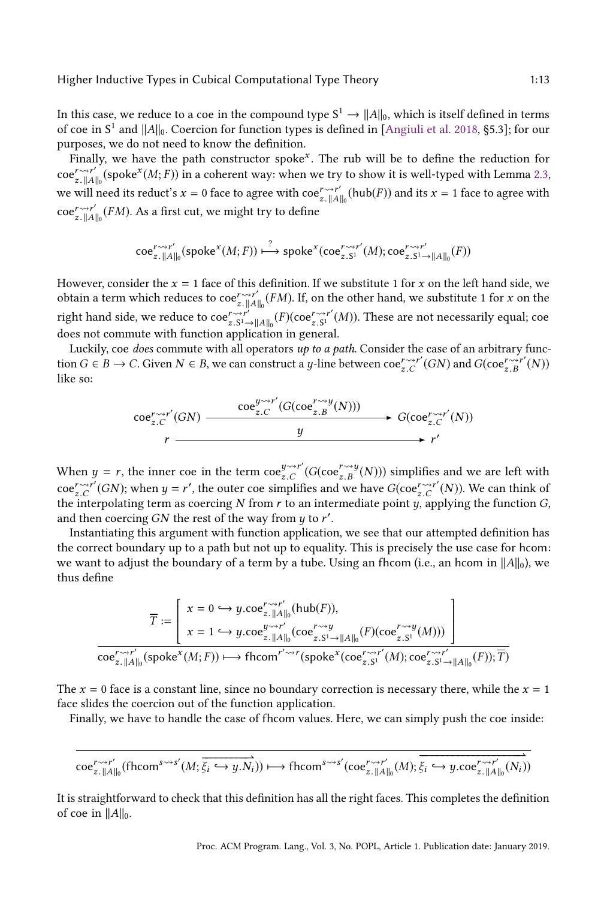In this case, we reduce to a coe in the compound type  $S^1 \to ||A||_0$ , which is itself defined in terms of coe in  $S^1$  and  $||A||_0$ . Coercion for function types is defined in [Angiuli et al. 2018,  $S^5$  31; for our of coe in  $S^1$  and  $||A||_0$ . Coercion for function types is defined in [\[Angiuli et al.](#page-25-2) [2018,](#page-25-2) §5.3]; for our purposes, we do not need to know the definition purposes, we do not need to know the definition.

Finally, we have the path constructor spoke<sup>x</sup>. The rub will be to define the reduction for  $\text{coe}_{z, \|A\|_0}^{r \to r'}(\text{spole}^x(M; F))$  in a coherent way: when we try to show it is well-typed with Lemma [2.3,](#page-6-1)  $\frac{1}{z}$  ||A||0</sub> (spoke  $(M, T)$ ) in a concretit way. When we try<br>we will need its reduct's  $x = 0$  face to agree with  $\cos t \sim r^2$  $\lim_{z \to \|A\|_0}$  (hub(*F*)) and its  $x = 1$  face to agree with  $\operatorname{coe}^{r\rightsquigarrow r'}_{z.\parallel A\parallel}$  $\lim_{z \, . \, ||A||_0}$  (*FM*). As a first cut, we might try to define

$$
\operatorname{coe}^{r \leadsto r'}_{z. \parallel A \parallel_{0}} \left( \operatorname{spoke}^{x}(M; F) \right) \stackrel{?}{\longmapsto} \operatorname{spoke}^{x}(\operatorname{coe}^{r \leadsto r'}_{z. S^{1}}(M); \operatorname{coe}^{r \leadsto r'}_{z. S^{1} \rightarrow \parallel A \parallel_{0}}(F))
$$

However, consider the  $x = 1$  face of this definition. If we substitute 1 for x on the left hand side, we obtain a term which reduces to  $\cos \sum_{x=|A||_0}^{x \sim r'} (FM)$ . If, on the other hand, we substitute 1 for x on the  $\frac{z}{z}$ . ∥A  $\frac{z}{\sqrt{a}}$ <br>right hand side, we reduce to coe<sup>*r*  $\frac{z}{z}$ ,  $\frac{z}{\sqrt{a}}$ </sup>  $\sum_{z \in S^1 \to \|A\|_0}^{r \to r'} (F) (\text{coe}^{r \to r'}_{z, S^1})$  $\sum_{z \in S^1}^{\infty \sim r'}(M)$ ). These are not necessarily equal; coe does not commute with function application in general.

Luckily, coe *does* commute with all operators  $up to a path$ . Consider the case of an arbitrary function  $G \in B \to C$ . Given  $N \in B$ , we can construct a *y*-line between  $\operatorname{coe}_{z.C}^{r \leadsto r'}(GN)$  and  $G(\operatorname{coe}_{z.B}^{r \leadsto r'}(N))$ like so:

$$
\begin{array}{ccc}\n\text{coe}_{z.C}^{r \leadsto r'}(GN) & \xrightarrow{\text{coe}_{z.C}^{y \leadsto r'}(G(\text{coe}_{z.B}^{r \leadsto y}(N)))} & G(\text{coe}_{z.C}^{r \leadsto r'}(N)) \\
\downarrow r & \xrightarrow{\qquad \qquad y} & r'\n\end{array}
$$

When  $y = r$ , the inner coe in the term  $\cos_{z,C}^{y \rightarrow r'}(G(\cos_{z,B}^{r \rightarrow y}(N)))$  simplifies and we are left with  $\cos t \sim t'$  (GN); when y = r', the outer coe simplifies and we have  $G(\cos t' \sim t'$  (N)). We can think of the interpolating term as coercing N from r to an intermediate point y, applying the function G,<br>and then coercing GN the rest of the way from u to r' and then coercing GN the rest of the way from y to r'.<br>Instantiating this argument with function application

Instantiating this argument with function application, we see that our attempted definition has the correct boundary up to a path but not up to equality. This is precisely the use case for hcom: we want to adjust the boundary of a term by a tube. Using an fhcom (i.e., an hcom in  $||A||_0$ ), we thus define

$$
\overline{T} := \left[ \begin{array}{c} x = 0 \hookrightarrow y \cdot \text{coe}_{z, ||A||_0}^{\mathcal{P} \leadsto \mathcal{P}'}(\text{hub}(F)), \\ x = 1 \hookrightarrow y \cdot \text{coe}_{z, ||A||_0}^{\mathcal{P} \leadsto \mathcal{P}'}(\text{coe}_{z, S^1 \rightarrow ||A||_0}^{\mathcal{P} \leadsto \mathcal{P}'}(F)(\text{coe}_{z, S^1}^{\mathcal{P} \leadsto \mathcal{P}'}(M))) \\ \text{coe}_{z, ||A||_0}^{\mathcal{P} \leadsto \mathcal{P}'}(\text{spole}^{\mathcal{X}}(M; F)) \longmapsto \text{fhcom}^{\mathcal{P}' \leadsto \mathcal{P}'}(\text{spole}^{\mathcal{X}}(\text{coe}_{z, S^1}^{\mathcal{P} \leadsto \mathcal{P}'}(M); \text{coe}_{z, S^1 \rightarrow ||A||_0}^{\mathcal{P} \leadsto \mathcal{P}'}(F)); \overline{T}) \end{array} \right]
$$

The  $x = 0$  face is a constant line, since no boundary correction is necessary there, while the  $x = 1$ face slides the coercion out of the function application.

Finally, we have to handle the case of fhcom values. Here, we can simply push the coe inside:

$$
\overbrace{\text{coe}^{r\leadsto r'}_{z. \parallel A \parallel_0}(\text{fhcom}^{s\leadsto s'}(M; \overline{\xi_i \hookrightarrow y.N_i})) \longmapsto \text{fhcom}^{s\leadsto s'}(\text{coe}^{r\leadsto r'}_{z. \parallel A \parallel_0}(M); \overline{\xi_i \hookrightarrow y \cdot \text{coe}^{r\leadsto r'}_{z. \parallel A \parallel_0}(N_i))}
$$

It is straightforward to check that this definition has all the right faces. This completes the definition of coe in  $||A||_0$ .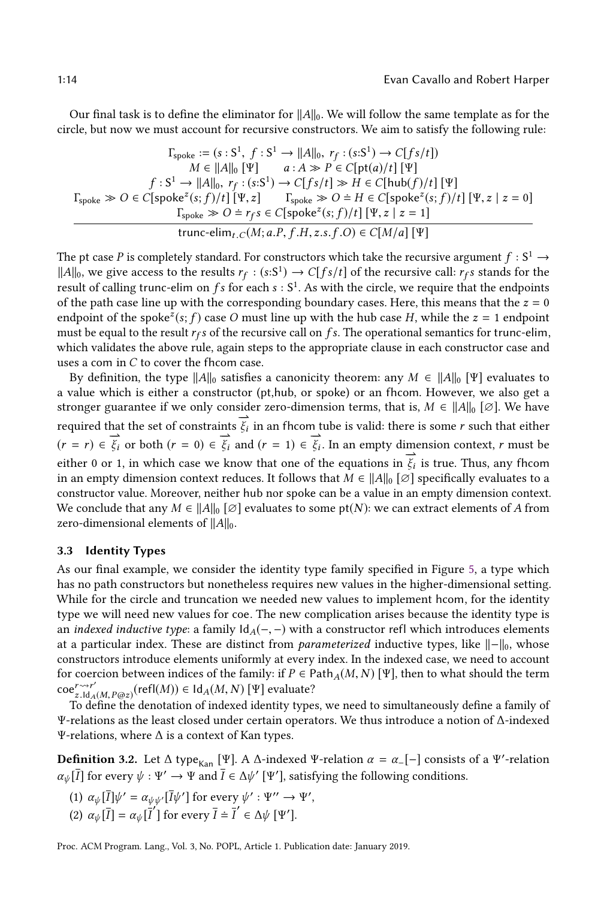Our final task is to define the eliminator for  $||A||_0$ . We will follow the same template as for the circle, but now we must account for recursive constructors. We aim to satisfy the following rule:

$$
\Gamma_{\text{spoke}} := (s : S^1, f : S^1 \to ||A||_0, r_f : (s : S^1) \to C[fs/t])
$$
  
\n
$$
M \in ||A||_0 [\Psi] \quad a : A \gg P \in C[\text{pt}(a)/t] [\Psi]
$$
  
\n
$$
f : S^1 \to ||A||_0, r_f : (s : S^1) \to C[fs/t] \gg H \in C[\text{hub}(f)/t] [\Psi]
$$
  
\n
$$
\Gamma_{\text{spoke}} \gg O \in C[\text{spoke}^z(s; f)/t] [\Psi, z] \quad \Gamma_{\text{spoke}} \gg O \cong H \in C[\text{spoke}^z(s; f)/t] [\Psi, z | z = 0]
$$
  
\n
$$
\Gamma_{\text{spoke}} \gg O \cong r_f s \in C[\text{spoke}^z(s; f)/t] [\Psi, z | z = 1]
$$
  
\n
$$
\text{trunc-elim}_{t.C}(M; a.P, f.H, z.s. f.O) \in C[M/a] [\Psi]
$$

The pt case P is completely standard. For constructors which take the recursive argument  $f : S^1 \to \mathbb{R}^d$  we give access to the results  $r_c : (sS^1) \to C[fs/t]$  of the recursive call; res stands for the  $||A||_0$ , we give access to the results  $r_f : (sS^1) \to C[f s/t]$  of the recursive call:  $r_f s$  stands for the result of colling trunc-olim on f s for each  $sS^1$ , as with the circle we require that the endpoints result of calling trunc-elim on fs for each  $s : S^1$ . As with the circle, we require that the endpoints of the path case line up with the corresponding boundary cases. Here, this means that the  $z = 0$ of the path case line up with the corresponding boundary cases. Here, this means that the  $z = 0$ endpoint of the spoke<sup>2</sup>(s; f) case O must line up with the hub case H, while the  $z = 1$  endpoint<br>must be equal to the result res of the recursive call on fs. The operational semantics for trunc-elim must be equal to the result  $r_f s$  of the recursive call on fs. The operational semantics for trunc-elim, which validates the above rule, again steps to the appropriate clause in each constructor case and uses a com in C to cover the fhcom case.

By definition, the type  $||A||_0$  satisfies a canonicity theorem: any  $M \in ||A||_0$  [Ψ] evaluates to a value which is either a constructor (pt,hub, or spoke) or an fhcom. However, we also get a stronger guarantee if we only consider zero-dimension terms, that is,  $M \in ||A||_0 [\emptyset]$ . We have required that the set of constraints  $\frac{z}{\zeta_i}$  in an fhcom tube is valid: there is some r such that either  $(r = r) \in \overline{\xi_i}$  or both  $(r = 0) \in \overline{\xi_i}$  and  $(r = 1) \in \overline{\xi_i}$ . In an empty dimension context, r must be either 0 or 1, in which case we know that one of the equations in  $\frac{1}{\xi_i}$  is true. Thus, any fhcom in an empty dimension context reduces. It follows that  $M \in ||A||_0$  [∅] specifically evaluates to a constructor value. Moreover, peither bub nor spoke can be a value in an empty dimension context constructor value. Moreover, neither hub nor spoke can be a value in an empty dimension context. We conclude that any  $M \in ||A||_0 [\emptyset]$  evaluates to some pt(N): we can extract elements of A from zero-dimensional elements of  $||A||_0$ .

#### <span id="page-13-0"></span>3.3 Identity Types

As our final example, we consider the identity type family specified in Figure [5,](#page-3-2) a type which has no path constructors but nonetheless requires new values in the higher-dimensional setting. While for the circle and truncation we needed new values to implement hcom, for the identity type we will need new values for coe. The new complication arises because the identity type is an indexed inductive type: a family  $\text{Id}_A(-, -)$  with a constructor refl which introduces elements at a particular index. These are distinct from *parameterized* inductive types, like  $\|\cdot\|_0$ , whose constructors introduce elements uniformly at every index. In the indexed case, we need to account for coercion between indices of the family: if  $P \in \text{Path}_A(M, N)$  [Ψ], then to what should the term  $\text{coe}_{z \cdot \text{Id}_A(M, P \circledcirc z)}^{r \leftrightarrow r'}(\text{refl}(M)) \in \text{Id}_A(M, N)$  [Ψ] evaluate?<br>To define the denotation of indexed identity type

To define the denotation of indexed identity types, we need to simultaneously define a family of Ψ-relations as the least closed under certain operators. We thus introduce a notion of ∆-indexed Ψ-relations, where ∆ is a context of Kan types.

**Definition 3.2.** Let Δ type<sub>Kan</sub> [Ψ]. A Δ-indexed Ψ-relation  $\alpha = \alpha$  [-] consists of a Ψ'-relation  $\alpha$  =  $\alpha$  [-*I*] for available.  $\alpha_{\psi}[\bar{I}]$  for every  $\psi : \Psi' \to \Psi$  and  $\bar{I} \in \Delta \psi'$  [ $\Psi'$ ], satisfying the following conditions.

- (1)  $\alpha_{\psi}[\bar{I}]\psi' = \alpha_{\psi\psi'}[\bar{I}\psi']$  for every  $\psi': \Psi'' \to \Psi',$ <br>(2)  $[\bar{I}]\psi' = \frac{[\bar{I}]}{[\bar{I}]}$
- (2)  $\alpha_{\psi}[\overline{I}] = \alpha_{\psi}[\overline{I}']$  for every  $\overline{I} = \overline{I}' \in \Delta \psi [\Psi']$ .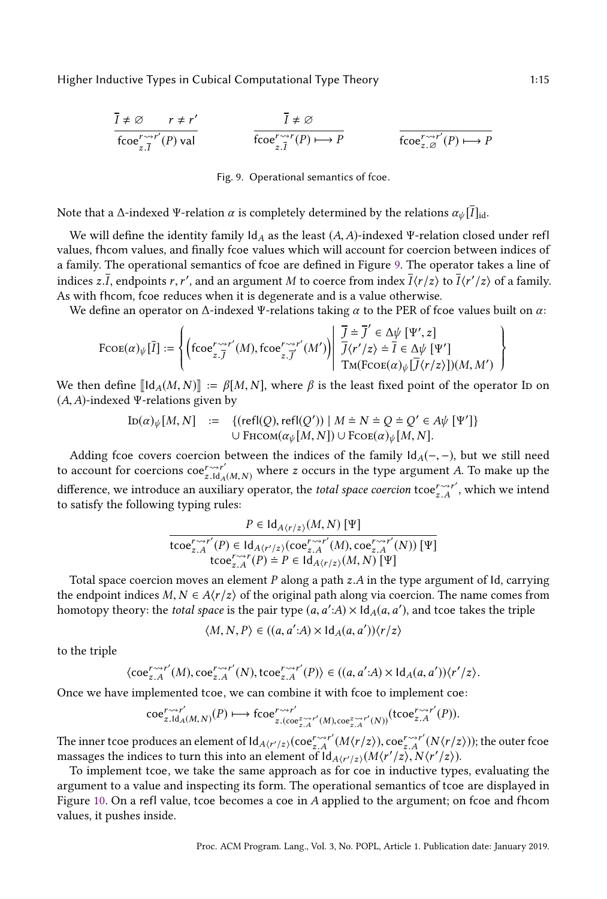<span id="page-14-0"></span>
$$
\overline{I} \neq \emptyset \qquad r \neq r'
$$
\n
$$
\overline{I} \neq \emptyset
$$
\n
$$
\overline{f} \cos \overline{f} \cos \overline{f} \cos \overline{f}
$$
\n
$$
\overline{f} \cos \overline{f} \cos \overline{f} \cos \overline{f}
$$
\n
$$
\overline{f} \cos \overline{f} \cos \overline{f} \cos \overline{f} \cos \overline{f} \cos \overline{f} \cos \overline{f} \cos \overline{f} \cos \overline{f} \cos \overline{f} \cos \overline{f} \cos \overline{f} \cos \overline{f} \cos \overline{f} \cos \overline{f} \cos \overline{f} \cos \overline{f} \cos \overline{f} \cos \overline{f} \cos \overline{f} \cos \overline{f} \cos \overline{f} \cos \overline{f} \cos \overline{f} \cos \overline{f} \cos \overline{f} \cos \overline{f} \cos \overline{f} \cos \overline{f} \cos \overline{f} \cos \overline{f} \cos \overline{f} \cos \overline{f} \cos \overline{f} \cos \overline{f} \cos \overline{f} \cos \overline{f} \cos \overline{f} \cos \overline{f} \cos \overline{f} \cos \overline{f} \cos \overline{f} \cos \overline{f} \cos \overline{f} \cos \overline{f} \cos \overline{f} \cos \overline{f} \cos \overline{f} \cos \overline{f} \cos \overline{f} \cos \overline{f} \cos \overline{f} \cos \overline{f} \cos \overline{f} \cos \overline{f} \cos \overline{f} \cos \overline{f} \cos \overline{f} \cos \overline{f} \cos \overline{f} \cos \overline{f} \cos \overline{f} \cos \overline{f} \cos \overline{f} \cos \overline{f} \cos \overline{f} \cos \overline{f} \cos \overline{f} \cos \overline{f} \cos \overline{f} \cos \overline{f} \cos \overline{f} \cos \overline{f} \cos \overline{f} \cos \overline{f} \cos \overline{f} \cos \overline{f} \cos \overline{f} \cos \overline{f} \cos \over
$$

Fig. 9. Operational semantics of fcoe.

Note that a Δ-indexed Ψ-relation  $\alpha$  is completely determined by the relations  $\alpha_{\psi}[\overline{I}]_{id}$ .

We will define the identity family  $\mathrm{Id}_A$  as the least  $(A, A)$ -indexed Ψ-relation closed under refl values, fhcom values, and finally fcoe values which will account for coercion between indices of a family. The operational semantics of fcoe are defined in Figure [9.](#page-14-0) The operator takes a line of indices  $z.\overline{I}$ , endpoints r, r', and an argument M to coerce from index  $\overline{I}\langle r/z \rangle$  to  $\overline{I}\langle r'/z \rangle$  of a family. As with fhcom, fcoe reduces when it is degenerate and is a value otherwise.

We define an operator on  $\Delta$ -indexed Ψ-relations taking  $\alpha$  to the PER of fcoe values built on  $\alpha$ :

$$
\text{Fcoe}(\alpha)_{\psi}[\overline{I}] := \left\{ \left( \text{fcoe}_{z.\overline{J}}^{r \to r'}(M), \text{fcoe}_{z.\overline{J}}^{r \to r'}(M') \right) \middle| \begin{array}{l} \overline{J} \doteq \overline{J}' \in \Delta \psi \ [\Psi', z] \\ \overline{J} \langle r'/z \rangle \doteq \overline{I} \in \Delta \psi \ [\Psi'] \\ \text{TM}(\text{Fcoe}(\alpha)_{\psi} [\overline{J} \langle r/z \rangle])(M, M') \end{array} \right\}
$$

We then define  $[[\mathsf{Id}_A(M, N)]] := \beta[M, N]$ , where  $\beta$  is the least fixed point of the operator In on  $(A, A)$ -indexed  $\Psi$ -relations given by  $(A, A)$ -indexed Ψ-relations given by

$$
\text{ID}(\alpha)_{\psi}[M, N] := \{(\text{refl}(Q), \text{refl}(Q')) \mid M \doteq N \doteq Q \doteq Q' \in A\psi \; [\Psi']\}
$$
  

$$
\cup \text{Fhcom}(\alpha_{\psi}[M, N]) \cup \text{Fcoe}(\alpha)_{\psi}[M, N].
$$

Adding fcoe covers coercion between the indices of the family  $\mathrm{Id}_A(-,-)$ , but we still need to account for coercions coe<sup> $r \sim r'$ </sup>  $\sum_{z \in \text{Id}_A(M, N)}^{\text{max}}$  where z occurs in the type argument A. To make up the difference, we introduce an auxiliary operator, the *total space coercion* tcoe<sup>r</sup> $\chi^*$ , which we intend to satisfy the following typing rules:

$$
P \in \text{Id}_{A\langle r/z\rangle}(M, N) \left[\Psi\right]
$$
  
\n
$$
\text{tcoe}_{z.A}^{r \rightarrow r'}(P) \in \text{Id}_{A\langle r/z\rangle}(\text{coe}_{z.A}^{r \rightarrow r'}(M), \text{coe}_{z.A}^{r \rightarrow r'}(N)) \left[\Psi\right]
$$
  
\n
$$
\text{tcoe}_{z.A}^{r \rightarrow r}(P) = P \in \text{Id}_{A\langle r/z\rangle}(M, N) \left[\Psi\right]
$$

Total space coercion moves an element P along a path z.A in the type argument of Id, carrying<br>a endpoint indices  $M N \in A/r/r$  of the original path along via coercion. The name comes from the endpoint indices  $M, N \in A \langle r/z \rangle$  of the original path along via coercion. The name comes from homotopy theory: the *total space* is the pair type  $(a, a';A) \times \mathrm{Id}_A(a, a')$ , and tcoe takes the triple

 $\langle M, N, P \rangle \in ((a, a' : A) \times \mathrm{Id}_A(a, a')) \langle r/z \rangle$ 

to the triple

$$
\langle \mathrm{coe}_{z,A}^{r \leadsto r'}(M), \mathrm{coe}_{z,A}^{r \leadsto r'}(N), \mathrm{troe}_{z,A}^{r \leadsto r'}(P) \rangle \in ((a, a'\!:\!A) \times \mathrm{Id}_A(a, a')) \langle r'/z \rangle.
$$

Once we have implemented tcoe, we can combine it with fcoe to implement coe:

$$
\operatorname{coe}_{z.\mathrm{Id}_A(M,N)}^{r\leadsto r'}(P)\longmapsto \operatorname{fcoe}_{z.(\operatorname{coe}_{z.A}^{z\leadsto r'}(M),\operatorname{coe}_{z.A}^{z\leadsto r'}(N))}^{r'}(\operatorname{tcoe}_{z.A}^{r\leadsto r'}(P)).
$$

The inner tcoe produces an element of  $\text{Id}_{A(r'/z)}(\text{coe}^{r \leadsto r'}_{z.A}(M\langle r/z\rangle), \text{coe}^{r \leadsto r'}_{z.A}(N\langle r/z\rangle));$  the outer fcoe massages the indices to turn this into an element of  $\text{Id}_{A\langle r'/z\rangle}(M\langle r'/z), N\langle r'/z\rangle)$ .<br>To implement toog, we take the same approach as for coe in inductive type

To implement tcoe, we take the same approach as for coe in inductive types, evaluating the argument to a value and inspecting its form. The operational semantics of tcoe are displayed in Figure [10.](#page-15-0) On a refl value, tcoe becomes a coe in  $A$  applied to the argument; on fcoe and fhcom values, it pushes inside.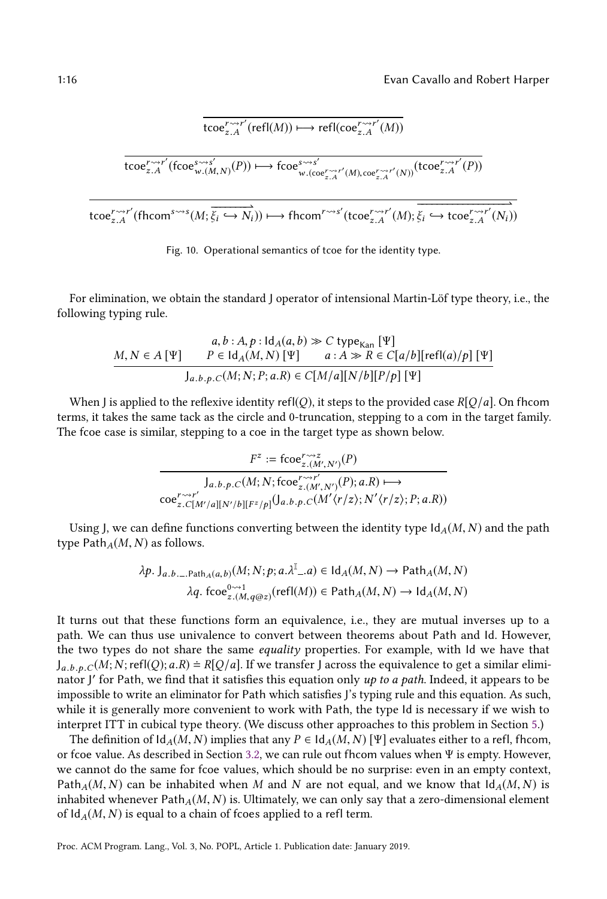<span id="page-15-0"></span>
$$
\operatorname{tcoe}_{z.A}^{r \leadsto r'}(\operatorname{refl}(M)) \longmapsto \operatorname{refl}(\operatorname{coe}_{z.A}^{r \leadsto r'}(M))
$$
\n
$$
\operatorname{tcoe}_{z.A}^{r \leadsto r'}(\operatorname{fcoe}_{w.(M,N)}^{s \leadsto s'}(P)) \longmapsto \operatorname{fcoe}_{w.(\operatorname{coe}_{z.A}^{r \leadsto r'}(M), \operatorname{coe}_{z.A}^{r \leadsto r'}(N))}^{r'}(\operatorname{tcoe}_{z.A}^{r \leadsto r'}(P))
$$

$$
\overbrace{\text{tcoe}_{z.A}^{r\leadsto r'}(\text{fhcom}^{s\leadsto s}(M;\overline{\xi_i \hookrightarrow N_i}))\longmapsto \text{fhcom}^{r\leadsto s'}(\text{tcoe}_{z.A}^{r\leadsto r'}(M);\overline{\xi_i \hookrightarrow \text{tcoe}_{z.A}^{r\leadsto r'}(N_i))}
$$

Fig. 10. Operational semantics of tcoe for the identity type.

For elimination, we obtain the standard J operator of intensional Martin-Löf type theory, i.e., the following typing rule.

$$
a, b : A, p : \text{Id}_{A}(a, b) \gg C \text{ type}_{\text{Kan}} [\Psi]
$$
\n
$$
M, N \in A [\Psi]
$$
\n
$$
P \in \text{Id}_{A}(M, N) [\Psi]
$$
\n
$$
a: A \gg R \in C[a/b][\text{refl}(a)/p] [\Psi]
$$
\n
$$
J_{a, b, p, C}(M; N; P; a, R) \in C[M/a][N/b][P/p] [\Psi]
$$

When J is applied to the reflexive identity refl(Q), it steps to the provided case  $R[Q/a]$ . On fhcom terms, it takes the same tack as the circle and 0-truncation, stepping to a com in the target family. The fcoe case is similar, stepping to a coe in the target type as shown below.

$$
F^{z} := \text{fcoe}_{z.(M',N')}^{r \rightarrow z}(P)
$$
\n
$$
\overline{J_{a.b.p.C}(M; N; \text{fcoe}_{z.(M',N')}^{r \rightarrow r'}(P); a.R) \longmapsto}
$$
\n
$$
\text{coe}_{z.C[M'/a][N'/b][F^{z}/p]}^{r \rightarrow r'}(J_{a.b.p.C}(M'\langle r/z \rangle; N'\langle r/z \rangle; P; a.R))
$$

Using J, we can define functions converting between the identity type  $\mathrm{Id}_A(M, N)$  and the path type  $Path_A(M, N)$  as follows.

$$
\lambda p. J_{a.b...Path_A(a,b)}(M; N; p; a.\lambda^{\mathbb{I}}...a) \in \mathrm{Id}_A(M, N) \to \mathrm{Path}_A(M, N)
$$

$$
\lambda q. \mathrm{fcoe}_{z.(M, q@z)}^{0 \sim 1}(\mathrm{refl}(M)) \in \mathrm{Path}_A(M, N) \to \mathrm{Id}_A(M, N)
$$

It turns out that these functions form an equivalence, i.e., they are mutual inverses up to a path. We can thus use univalence to convert between theorems about Path and Id. However, the two types do not share the same equality properties. For example, with Id we have that  $J_{a,b,p,C}(M;N;\text{refl}(Q); a.R) = R[Q/a]$ . If we transfer J across the equivalence to get a similar eliminator J' for Path, we find that it satisfies this equation only up to a path. Indeed, it appears to be impossible to write an eliminator for Path which satisfies J's typing rule and this equation. As such, while it is generally more convenient to work with Path, the type Id is necessary if we wish to interpret ITT in cubical type theory. (We discuss other approaches to this problem in Section [5.](#page-23-0))

The definition of  $\text{Id}_{A}(M, N)$  implies that any  $P \in \text{Id}_{A}(M, N)$  [Ψ] evaluates either to a refl, fhcom, or fcoe value. As described in Section [3.2,](#page-11-0) we can rule out fhcom values when Ψ is empty. However, we cannot do the same for fcoe values, which should be no surprise: even in an empty context, Path<sub>A</sub>(M, N) can be inhabited when M and N are not equal, and we know that  $Id_A(M, N)$  is inhabited whenever  $Path_A(M, N)$  is. Ultimately, we can only say that a zero-dimensional element of  $\text{Id}_A(M, N)$  is equal to a chain of fcoes applied to a refl term.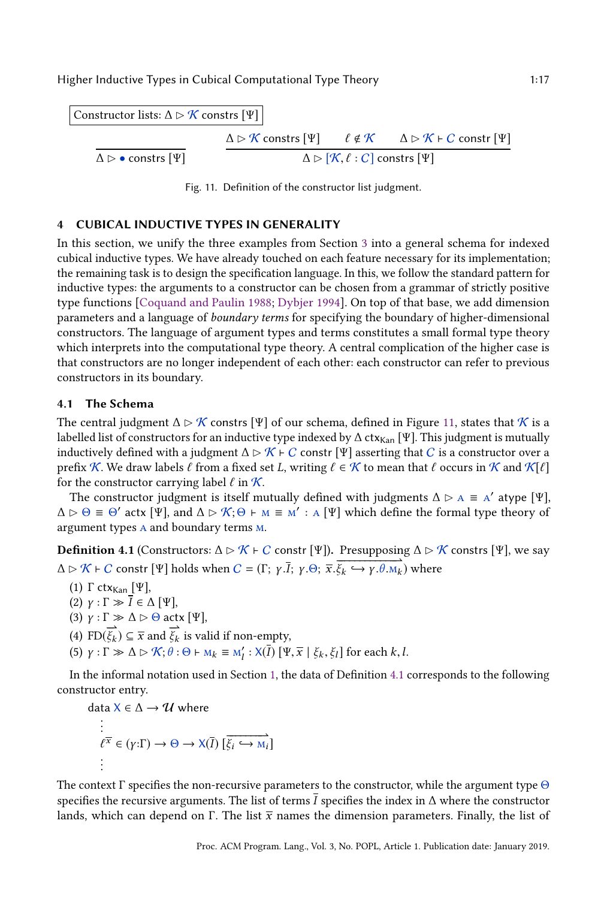<span id="page-16-1"></span>

Fig. 11. Definition of the constructor list judgment.

#### <span id="page-16-0"></span>4 CUBICAL INDUCTIVE TYPES IN GENERALITY

In this section, we unify the three examples from Section [3](#page-9-0) into a general schema for indexed cubical inductive types. We have already touched on each feature necessary for its implementation; the remaining task is to design the specification language. In this, we follow the standard pattern for inductive types: the arguments to a constructor can be chosen from a grammar of strictly positive type functions [\[Coquand and Paulin](#page-26-10) [1988;](#page-26-10) [Dybjer](#page-26-8) [1994\]](#page-26-8). On top of that base, we add dimension parameters and a language of boundary terms for specifying the boundary of higher-dimensional constructors. The language of argument types and terms constitutes a small formal type theory which interprets into the computational type theory. A central complication of the higher case is that constructors are no longer independent of each other: each constructor can refer to previous constructors in its boundary.

#### 4.1 The Schema

The central judgment  $\Delta \triangleright \mathcal{K}$  constrs [Ψ] of our schema, defined in Figure [11,](#page-16-1) states that  $\mathcal{K}$  is a labelled list of constructors for an inductive type indexed by  $\Delta$  ctx<sub>Kan</sub> [Ψ]. This judgment is mutually inductively defined with a judgment  $\Delta \triangleright \mathcal{K} \vdash C$  constr [Ψ] asserting that C is a constructor over a prefix K. We draw labels  $\ell$  from a fixed set L, writing  $\ell \in \mathcal{K}$  to mean that  $\ell$  occurs in K and K[ $\ell$ ] for the constructor carrying label  $\ell$  in  $\mathcal{K}$ .

The constructor judgment is itself mutually defined with judgments  $\Delta \triangleright A \equiv A'$  atype [Ψ],<br> $\triangleright \Theta = \Theta'$  acty [Ψ], and  $\Delta \triangleright \mathcal{K} \cdot \Theta \vdash M \equiv M' \cdot A$  [Ψ] which define the formal type theory of  $\Delta \triangleright \Theta \equiv \Theta'$  actx [Ψ], and  $\Delta \triangleright \mathcal{K}; \Theta \vdash M \equiv M'$ : A [Ψ] which define the formal type theory of argument types a and boundary terms m.

<span id="page-16-2"></span>Definition 4.1 (Constructors:  $\Delta \triangleright \mathcal{K} \vdash C$  constr [Ψ]). Presupposing  $\Delta \triangleright \mathcal{K}$  constrs [Ψ], we say  $\Delta \triangleright \mathcal{K} \vdash C$  constr [Ψ] holds when  $C = (\Gamma; \gamma, \overline{I}; \gamma, \Theta; \overline{x}, \overline{\xi_k} \hookrightarrow \gamma, \theta, M_k)$  where

- (1) Γ ctx<sub>Kan</sub> [Ψ],
- (2)  $\gamma : \Gamma \gg \overline{I} \in \Delta [\Psi],$
- (3)  $\gamma : \Gamma \gg \Delta \rhd \Theta$  actx  $[\Psi]$ ,
- (4) FD( $\xi_k$ )  $\subseteq \overline{x}$  and  $\xi_k$  is valid if non-empty,<br>(5)  $y \cdot \overline{F} \gg \Delta \sim \mathcal{K} \cdot \theta \cdot \Theta + M_0 \equiv M' \cdot \overline{Y}(\overline{I})$  [W
- (5)  $\gamma : \Gamma \gg \Delta \rhd \mathcal{K}; \theta : \Theta \vdash M_k \equiv M'_l : X(\overline{I}) [\Psi, \overline{x} \mid \xi_k, \xi_l]$  for each k, l.

In the informal notation used in Section [1,](#page-0-0) the data of Definition [4.1](#page-16-2) corresponds to the following constructor entry.

data 
$$
\times \in \Delta \rightarrow \mathcal{U}
$$
 where  
\n
$$
\vdots
$$
\n
$$
\ell^{\overline{x}} \in (\gamma: \Gamma) \rightarrow \Theta \rightarrow \chi(\overline{I}) \left[ \overline{\xi_i \hookrightarrow \mathsf{M}_i} \right]
$$
\n
$$
\vdots
$$

The context  $\Gamma$  specifies the non-recursive parameters to the constructor, while the argument type  $\Theta$ <br>specifies the recursive arguments. The list of terms  $\overline{I}$  specifies the index in A where the constructor specifies the recursive arguments. The list of terms  $\overline{I}$  specifies the index in  $\Delta$  where the constructor lands, which can depend on Γ. The list  $\bar{x}$  names the dimension parameters. Finally, the list of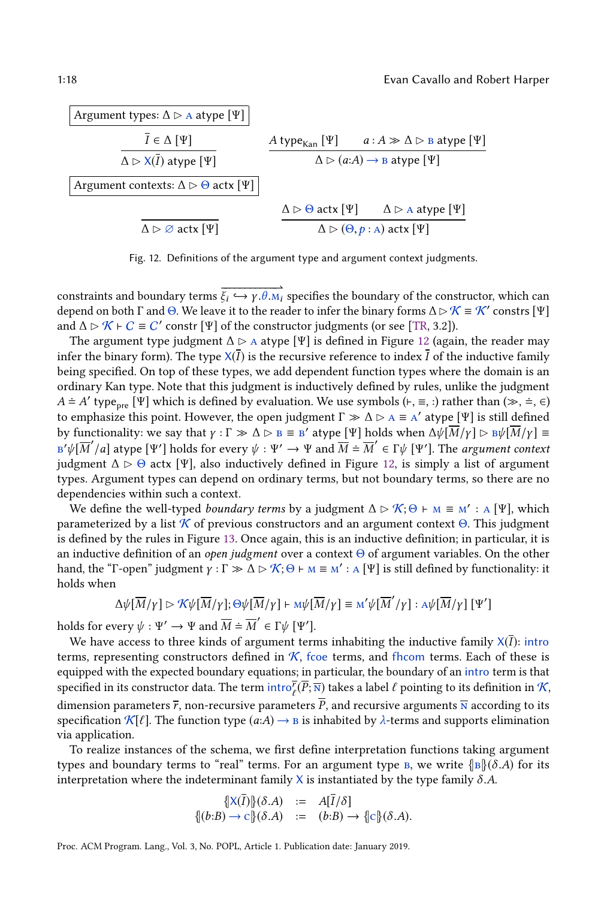<span id="page-17-0"></span>

| Argument types: $\Delta \triangleright$ A atype [Y]        |                                                       |                                              |
|------------------------------------------------------------|-------------------------------------------------------|----------------------------------------------|
| $\overline{I} \in \Delta [\Psi]$                           | $A$ type <sub>Kan</sub> [Y]                           | $a: A \gg \Delta \triangleright$ B atype [Y] |
| Argument contexts: $\Delta \triangleright \Theta$ actx [Y] | $\Delta \triangleright (a:A) \rightarrow B$ atype [Y] |                                              |
| $\overline{\Delta \triangleright \emptyset}$ actx [Y]      | $\Delta \triangleright \Theta$ actx [Y]               | $\Delta \triangleright$ A atype [Y]          |
| $\overline{\Delta \triangleright \emptyset}$ actx [Y]      | $\Delta \triangleright (\Theta, p : A)$ actx [Y]      |                                              |

Fig. 12. Definitions of the argument type and argument context judgments.

constraints and boundary terms  $\overline{\xi_i \hookrightarrow \gamma.\theta.\overline{M}_i}$  specifies the boundary of the constructor, which can depend on both  $\Gamma$  and  $\Theta$ . We leave it to the reader to infer the binary forms  $\Delta \triangleright \mathcal{K} \equiv \mathcal{K}'$  constrs  $[\Psi]$ <br>and  $\Delta \triangleright \mathcal{K} \models C \equiv C'$  constr $[\Psi]$  of the constructor judgments (or see  $[\text{TR } 3.2]$ ) and  $\Delta \triangleright \mathcal{K} \vdash C \equiv C'$  constr $[\Psi]$  of the constructor judgments (or see [\[TR,](#page-26-9) 3.2]).<br>The argument type judgment  $\Delta \triangleright \Delta$  atype [ $\Psi$ ] is defined in Figure 12 (again

The argument type judgment  $\Delta \triangleright$  A atype [Ψ] is defined in Figure [12](#page-17-0) (again, the reader may infer the binary form). The type  $X(\overline{I})$  is the recursive reference to index  $\overline{I}$  of the inductive family being specified. On top of these types, we add dependent function types where the domain is an ordinary Kan type. Note that this judgment is inductively defined by rules, unlike the judgment  $A = A'$  type<sub>pre</sub> [Ψ] which is defined by evaluation. We use symbols ( $\vdash, \equiv, :$ ) rather than ( $\gg, \div, \in$ ) to emphasize this point. However, the open judgment  $\Gamma \gg A \succ A \equiv A'$  atupe [W] is still defined to emphasize this point. However, the open judgment  $\Gamma \gg \Delta \rhd A \equiv A'$  atype [Ψ] is still defined<br>by functionality, we say that  $y \in \Gamma \gg \Delta \rhd R = n'$  atype [Ψ] halds when  $\Delta y[\overline{M}/y] \rhd p y[\overline{M}/y] =$ by functionality: we say that  $\gamma : \Gamma \gg \Delta \rhd B \equiv B'$  atype [Ψ] holds when  $\Delta \psi[\overline{M}/\gamma] \rhd B\psi[\overline{M}/\gamma] \equiv$  $\mathbb{E}'\psi[\overline{M}'/a]$  atype  $[\Psi']$  holds for every  $\psi : \Psi' \to \Psi$  and  $\overline{M} = \overline{M}' \in \Gamma \psi [\Psi']$ . The *argument context* indoment  $\Lambda \to \Theta$  acty  $[\Psi]$  also inductively defined in Figure 12, is simply a list of argument judgment ∆ ✄ Θ actx [Ψ], also inductively defined in Figure [12,](#page-17-0) is simply a list of argument types. Argument types can depend on ordinary terms, but not boundary terms, so there are no dependencies within such a context.

We define the well-typed *boundary terms* by a judgment  $\Delta \triangleright \mathcal{K}; \Theta \vdash M \equiv M' : A[\Psi]$ , which rameterized by a list K of previous constructors and an argument context  $\Theta$ . This judgment parameterized by a list  $K$  of previous constructors and an argument context  $\Theta$ . This judgment is defined by the rules in Figure [13.](#page-18-0) Once again, this is an inductive definition; in particular, it is an inductive definition of an open judgment over a context Θ of argument variables. On the other hand, the "Γ-open" judgment  $\gamma : \Gamma \gg \Delta \rhd \mathcal{K}; \Theta \vdash M \equiv M' : A \Psi$  is still defined by functionality: it holds when holds when

$$
\Delta\psi[\overline{M}/\gamma] \rhd \mathcal{K}\psi[\overline{M}/\gamma]; \Theta\psi[\overline{M}/\gamma] \vdash m\psi[\overline{M}/\gamma] \equiv m'\psi[\overline{M}'/\gamma] : n\psi[\overline{M}/\gamma] [\Psi']
$$

holds for every  $\psi : \Psi' \to \Psi$  and  $\overline{M} \doteq \overline{M}' \in \Gamma \psi [\Psi']$ .<br>We have access to three kinds of example terms

We have access to three kinds of argument terms inhabiting the inductive family  $X(\overline{I})$ : intro terms, representing constructors defined in  $K$ , fcoe terms, and fhcom terms. Each of these is equipped with the expected boundary equations; in particular, the boundary of an intro term is that specified in its constructor data. The term intro $\overline{r}(\overline{P}; \overline{N})$  takes a label  $\ell$  pointing to its definition in K,  $\ell$  is a second to the second term  $\overline{R}$  and  $\overline{R}$  and  $\overline{R}$  construction in the second t dimension parameters  $\vec{r}$ , non-recursive parameters  $\overline{P}$ , and recursive arguments  $\overline{N}$  according to its specification  $\mathcal{K}[I]$ . The function type  $(aA) \rightarrow \overline{B}$  is inhabited by *l*-terms and supports eliminati specification  $\mathcal{K}[\ell]$ . The function type  $(a:A) \to B$  is inhabited by  $\lambda$ -terms and supports elimination via application.

To realize instances of the schema, we first define interpretation functions taking argument types and boundary terms to "real" terms. For an argument type  $B$ , we write  $\{B\}(\delta.A)$  for its interpretation where the indeterminant family X is instantiated by the type family  $\delta.A$ .

$$
\begin{array}{rcl}\n\{\langle \mathbf{X}(\overline{I}) \rangle\}(\delta.A) & := & A[\overline{I}/\delta] \\
\{\langle b:B \rangle \to \mathbf{C} \rangle\}(\delta.A) & := & (b:B) \to \{\mathbf{C} \}(\delta.A).\n\end{array}
$$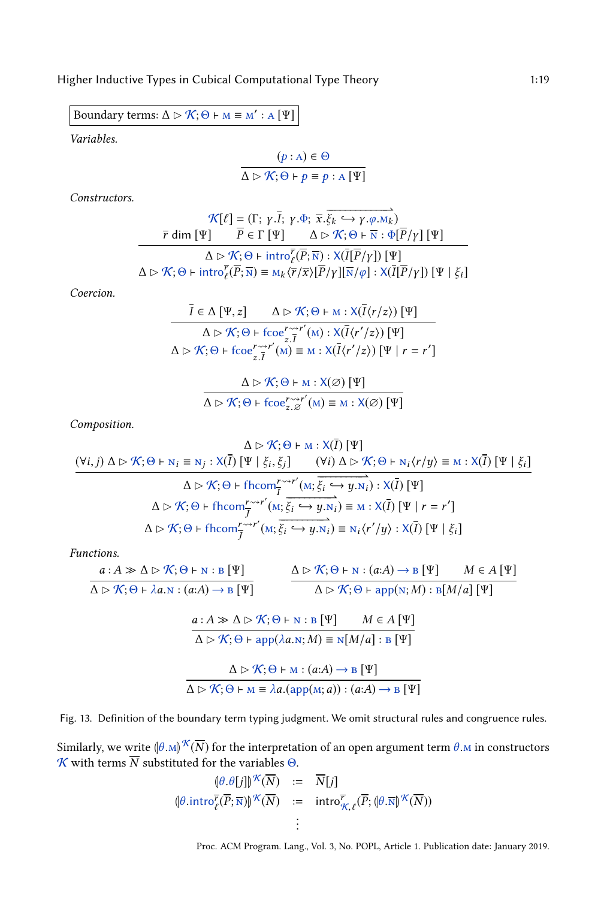<span id="page-18-0"></span>Boundary terms: 
$$
\Delta \triangleright \mathcal{K}
$$
;  $\Theta \vdash M \equiv M' : A \cdot [\Psi]$ 

Variables.

$$
(p : A) \in \Theta
$$
  

$$
\Delta \triangleright \mathcal{K}; \Theta \vdash p \equiv p : A \; [\Psi]
$$

Constructors.

$$
\mathcal{K}[\ell] = (\Gamma; \gamma, \overline{I}; \gamma. \Phi; \overline{x}.\overline{\xi_k} \hookrightarrow \gamma. \varphi. \mathbb{R})
$$
  
\n
$$
\overline{r} \dim [\Psi] \qquad \overline{P} \in \Gamma [\Psi] \qquad \Delta \triangleright \mathcal{K}; \Theta \vdash \overline{\mathbb{N}} : \Phi[\overline{P}/\gamma] [\Psi]
$$
  
\n
$$
\Delta \triangleright \mathcal{K}; \Theta \vdash \text{intro}_{\ell}^{\overline{r}}(\overline{P}; \overline{\mathbb{N}}) : \chi(\overline{I}[\overline{P}/\gamma]) [\Psi]
$$
  
\n
$$
\Delta \triangleright \mathcal{K}; \Theta \vdash \text{intro}_{\ell}^{\overline{r}}(\overline{P}; \overline{\mathbb{N}}) \equiv \mathbb{M}_{k} \langle \overline{r} / \overline{x} \rangle [\overline{P}/\gamma][\overline{\mathbb{N}}/\varphi] : \chi(\overline{I}[\overline{P}/\gamma]) [\Psi \mid \xi_{i}]
$$

Coercion.

$$
\overline{I} \in \Delta [\Psi, z] \qquad \Delta \rhd \mathcal{K}; \Theta \vdash M : X(\overline{I} \langle r/z \rangle) [\Psi]
$$

$$
\Delta \rhd \mathcal{K}; \Theta \vdash \text{fcoe}_{z,\overline{I}}^{r \rightarrow r'}(M) : X(\overline{I} \langle r'/z \rangle) [\Psi]
$$

$$
\Delta \rhd \mathcal{K}; \Theta \vdash \text{fcoe}_{z,\overline{I}}^{r \rightarrow r'}(M) \equiv M : X(\overline{I} \langle r'/z \rangle) [\Psi \mid r = r']
$$

$$
\Delta \triangleright \mathcal{K}; \Theta \vdash M : X(\varnothing) [\Psi]
$$

$$
\Delta \triangleright \mathcal{K}; \Theta \vdash \text{fcoe}_{z, \varnothing}^{r \rightsquigarrow r'}(M) \equiv M : X(\varnothing) [\Psi]
$$

Composition.

$$
\Delta \rhd \mathcal{K}; \Theta \rhd M : X(\overline{I}) [\Psi]
$$
  
\n
$$
(\forall i, j) \Delta \rhd \mathcal{K}; \Theta \rhd N_i \equiv N_j : X(\overline{I}) [\Psi \mid \xi_i, \xi_j] \qquad (\forall i) \Delta \rhd \mathcal{K}; \Theta \rhd N_i \langle r/y \rangle \equiv M : X(\overline{I}) [\Psi \mid \xi_i]
$$
  
\n
$$
\Delta \rhd \mathcal{K}; \Theta \rhd f \text{hcom}_{\overline{I}}^{r \rightarrow r'} (M; \overline{\xi_i \hookrightarrow y . N_i}) : X(\overline{I}) [\Psi]
$$
  
\n
$$
\Delta \rhd \mathcal{K}; \Theta \rhd f \text{hcom}_{\overline{J}}^{r \rightarrow r'} (M; \overline{\xi_i \hookrightarrow y . N_i}) \equiv M : X(\overline{I}) [\Psi \mid r = r']
$$
  
\n
$$
\Delta \rhd \mathcal{K}; \Theta \rhd f \text{hcom}_{\overline{J}}^{r \rightarrow r'} (M; \overline{\xi_i \hookrightarrow y . N_i}) \equiv N_i \langle r'/y \rangle : X(\overline{I}) [\Psi \mid \xi_i]
$$

Functions.

$$
\frac{a:A \gg \Delta \rhd \mathcal{K}; \Theta \vdash \mathbf{N}: \mathbf{B} [\Psi]}{\Delta \rhd \mathcal{K}; \Theta \vdash \lambda a.\mathbf{N}: (a:A) \rightarrow \mathbf{B} [\Psi]} \qquad \frac{\Delta \rhd \mathcal{K}; \Theta \vdash \mathbf{N}: (a:A) \rightarrow \mathbf{B} [\Psi]}{\Delta \rhd \mathcal{K}; \Theta \vdash \mathbf{app} (\mathbf{N}; M): \mathbf{B}[M/a] [\Psi]}
$$
\n
$$
\frac{a:A \gg \Delta \rhd \mathcal{K}; \Theta \vdash \mathbf{N}: \mathbf{B} [\Psi]}{\Delta \rhd \mathcal{K}; \Theta \vdash \mathbf{app} (\lambda a.\mathbf{N}; M) \equiv \mathbf{N}[M/a]: \mathbf{B} [\Psi]}
$$
\n
$$
\Delta \rhd \mathcal{K}; \Theta \vdash \mathbf{M}: (a:A) \rightarrow \mathbf{B} [\Psi]
$$
\n
$$
\Delta \rhd \mathcal{K}; \Theta \vdash \mathbf{M}: (a:A) \rightarrow \mathbf{B} [\Psi]
$$
\n
$$
\Delta \rhd \mathcal{K}; \Theta \vdash \mathbf{M} \equiv \lambda a.(\mathbf{app} (\mathbf{M}; a)) : (a:A) \rightarrow \mathbf{B} [\Psi]
$$

Fig. 13. Definition of the boundary term typing judgment. We omit structural rules and congruence rules.

Similarly, we write  $(\theta \cdot M)^{\mathcal{K}}(\overline{N})$  for the interpretation of an open argument term  $\theta$ .*m* in constructors  $\mathcal{K}$  with terms  $\overline{N}$  substituted for the variables  $\Theta$  $\overline{\mathcal{K}}$  with terms  $\overline{N}$  substituted for the variables  $\Theta$ .

$$
\varphi \cdot (\theta \cdot \partial [j])^{\mathcal{K}}(\overline{N}) := \overline{N}[j]
$$
  

$$
\varphi \cdot (\theta \cdot \overline{N})^{\mathcal{K}}(\overline{P}; \overline{N})^{\mathcal{K}}(\overline{N}) := \text{intro}_{\mathcal{K}, \ell}^{\overline{r}}(\overline{P}; (\theta \cdot \overline{N})^{\mathcal{K}}(\overline{N}))
$$
  

$$
\vdots
$$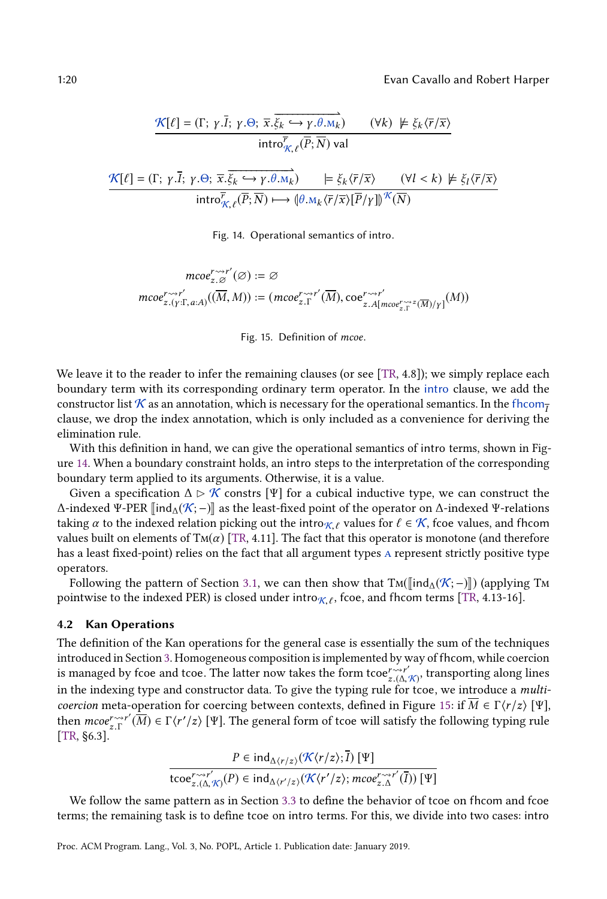#### <span id="page-19-0"></span>1:20 Evan Cavallo and Robert Harper

$$
\frac{\mathcal{K}[\ell] = (\Gamma; \gamma, \overline{I}; \gamma, \Theta; \overline{x}, \overline{\xi_k \hookrightarrow \gamma, \theta, \mathbf{M}_k}) \qquad (\forall k) \not\models \xi_k \langle \overline{r}/\overline{x} \rangle}{\text{intro}_{\mathcal{K}, \ell}^{\overline{r}}(\overline{P}; \overline{N}) \text{ val}}
$$

$$
\frac{\mathcal{K}[\ell] = (\Gamma; \gamma, \overline{I}; \gamma, \Theta; \overline{x}, \overline{\xi_k \hookrightarrow \gamma, \theta, \mathbf{M}_k}) \qquad \models \xi_k \langle \overline{r}/\overline{x} \rangle \qquad (\forall l < k) \not\models \xi_l \langle \overline{r}/\overline{x} \rangle}{\overline{x} \qquad \overline{x} \qquad \overline{x} \qquad \overline{x} \qquad \overline{x} \qquad \overline{x} \qquad \overline{x} \qquad \overline{x} \qquad \overline{x} \qquad \overline{x} \qquad \overline{x} \qquad \overline{x} \qquad \overline{x} \qquad \overline{x} \qquad \overline{x} \qquad \overline{x} \qquad \overline{x} \qquad \overline{x} \qquad \overline{x} \qquad \overline{x} \qquad \overline{x} \qquad \overline{x} \qquad \overline{x} \qquad \overline{x} \qquad \overline{x} \qquad \overline{x} \qquad \overline{x} \qquad \overline{x} \qquad \overline{x} \qquad \overline{x} \qquad \overline{x} \qquad \overline{x} \qquad \overline{x} \qquad \overline{x} \qquad \overline{x} \qquad \overline{x} \qquad \overline{x} \qquad \overline{x} \qquad \overline{x} \qquad \overline{x} \qquad \overline{x} \qquad \overline{x} \qquad \overline{x} \qquad \overline{x} \qquad \overline{x} \qquad \overline{x} \qquad \overline{x} \qquad \overline{x} \qquad \overline{x} \qquad \overline{x} \qquad \overline{x} \qquad \overline{x} \qquad \overline{x} \qquad \overline{x} \qquad \overline{x} \qquad \overline{x} \qquad \overline{x} \qquad \overline{x} \qquad \overline{x} \qquad \overline{x} \qquad \overline{x} \qquad \overline{x} \qquad \overline{x} \qquad \overline{x} \qquad \overline
$$

$$
\mathrm{intro}_{K,\ell}^{\overline{r}}(\overline{P};\overline{N}) \longmapsto (\hspace{-0.5mm} \bigoplus_{\lambda \in \Lambda_k} \langle \overline{r} / \overline{x} \rangle \left[ \overline{P} / \gamma \right] \hspace{-0.5mm} \big) \mathcal{K}(\overline{N})
$$

Fig. 14. Operational semantics of intro.

<span id="page-19-1"></span>
$$
mcoe_{z.(\gamma:\Gamma,\,a:A)}^{r\rightsquigarrow r'}(\varnothing) := \varnothing
$$
  

$$
mcoe_{z.(\gamma:\Gamma,\,a:A)}^{r\rightsquigarrow r'}((\overline{M},M)) := (mcoe_{z.\Gamma}^{r\rightsquigarrow r'}(\overline{M}), coe_{z.A[mcoe_{z.\Gamma}^{r\rightsquigarrow z}(\overline{M})/Y]}^{r\rightsquigarrow r'}(M))
$$

Fig. 15. Definition of mcoe.

We leave it to the reader to infer the remaining clauses (or see [\[TR,](#page-26-9) 4.8]); we simply replace each boundary term with its corresponding ordinary term operator. In the intro clause, we add the constructor list K as an annotation, which is necessary for the operational semantics. In the fhcom  $\tau$ I clause, we drop the index annotation, which is only included as a convenience for deriving the elimination rule.

With this definition in hand, we can give the operational semantics of intro terms, shown in Figure [14.](#page-19-0) When a boundary constraint holds, an intro steps to the interpretation of the corresponding boundary term applied to its arguments. Otherwise, it is a value.

Given a specification  $\Delta \triangleright \mathcal{K}$  constrs [Ψ] for a cubical inductive type, we can construct the  $\Delta$ -indexed Ψ-PER  $\llbracket \text{ind}_{\Delta}(\mathcal{K};-) \rrbracket$  as the least-fixed point of the operator on  $\Delta$ -indexed Ψ-relations taking  $\alpha$  to the indexed relation picking out the intro $\chi$ , *l* values for  $\ell \in \mathcal{K}$ , fcoe values, and fhcom values built on elements of TM( $\alpha$ ) [\[TR,](#page-26-9) 4.11]. The fact that this operator is monotone (and therefore has a least fixed-point) relies on the fact that all argument types a represent strictly positive type operators.

Following the pattern of Section [3.1,](#page-9-1) we can then show that  $\text{TM}(\llbracket \text{ind}_{\Delta}(\mathcal{K}; -)\rrbracket)$  (applying Tm pointwise to the indexed PER) is closed under intro $\chi$ , fcoe, and fhcom terms [\[TR,](#page-26-9) 4.13-16].

#### 4.2 Kan Operations

The definition of the Kan operations for the general case is essentially the sum of the techniques introduced in Section [3.](#page-9-0) Homogeneous composition is implemented by way of fhcom, while coercion is managed by fcoe and tcoe. The latter now takes the form tcoe  $\sum_{z=(\Lambda)}^{\Lambda_{\text{c}}\times r}$  $\sum_{z \in (\Delta, \mathcal{K})}^{r \rightarrow r'}$ , transporting along lines in the indexing type and constructor data. To give the typing rule for tcoe, we introduce a multi-coercion meta-operation for coercing between contexts, defined in Figure [15:](#page-19-1) if  $M \in \Gamma \langle r/z \rangle$  [Ψ], then  $mcoe^{r \sim r'}_{z,\Gamma}(\overline{M}) \in \Gamma \langle r'/z \rangle$  [Ψ]. The general form of tcoe will satisfy the following typing rule  $\begin{bmatrix} TR. \ \ \ 66.3 \end{bmatrix}^{\sim}$ 

$$
P \in ind_{\Delta\langle r/z\rangle}(\mathcal{K}\langle r/z\rangle; \overline{I}) [\Psi]
$$
  
tcoe<sub>z.(\Delta,\mathcal{K})</sub> $(P) \in ind_{\Delta\langle r'/z\rangle}(\mathcal{K}\langle r'/z\rangle; mcoe_{z.\Delta}^{r\rightarrow r'}(\overline{I})) [\Psi]$ 

 $\text{Cone}_{z.(\Delta,\mathcal{K})}(I) \in \text{Ind}_{\Delta(r'/z)}(\Delta,V \setminus I)$ ,  $\text{Ind}_{z.\Delta}(\cdot I)$  [1]<br>We follow the same pattern as in Section [3.3](#page-13-0) to define the behavior of tcoe on fhcom and fcoe terms; the remaining task is to define tcoe on intro terms. For this, we divide into two cases: intro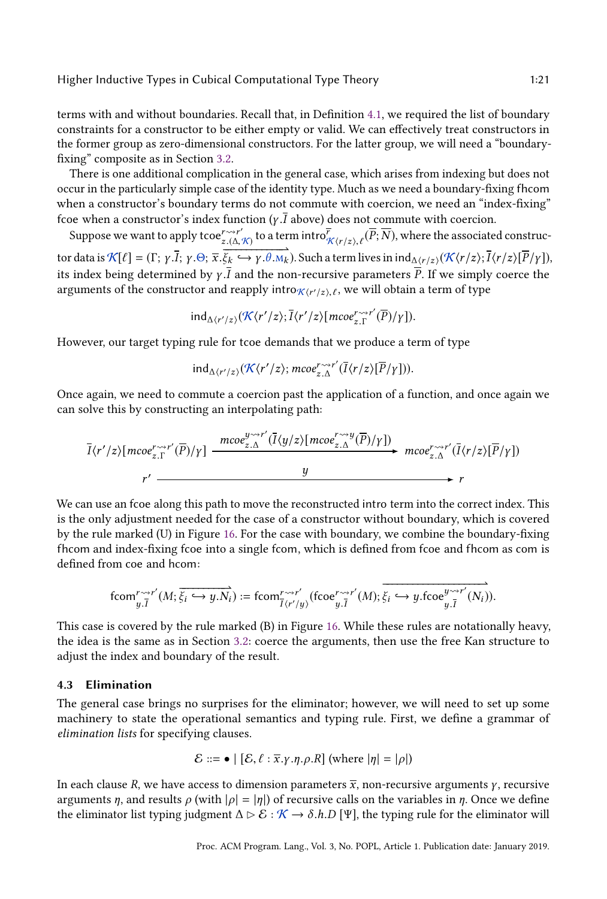terms with and without boundaries. Recall that, in Definition [4.1,](#page-16-2) we required the list of boundary constraints for a constructor to be either empty or valid. We can effectively treat constructors in the former group as zero-dimensional constructors. For the latter group, we will need a "boundaryfixing" composite as in Section [3.2.](#page-11-0)

There is one additional complication in the general case, which arises from indexing but does not occur in the particularly simple case of the identity type. Much as we need a boundary-fixing fhcom when a constructor's boundary terms do not commute with coercion, we need an "index-fixing" fcoe when a constructor's index function ( $\gamma \bar{I}$  above) does not commute with coercion.

Suppose we want to apply tcoe $r^{\sim r'}$  $\overline{z}$ .( $\Delta \overline{\chi}$ ) to a term intro $\overline{K}$ ,  $\overline{\chi}$  ( $\overline{P}$ ;  $\overline{N}$ ), where the associated constructor data is  $\mathcal{K}[\ell] = (\Gamma; \gamma, \bar{I}; \gamma, \Theta; \bar{x}, \bar{\xi}_k \leftrightarrow \gamma, \theta, m_k)$ . Such a term lives in  $\text{ind}_{\Delta(r/z)}(\mathcal{K}\langle r/z; \bar{I}\langle r/z \rangle[\bar{P}/\gamma])$ ,<br>its index being determined by  $\bar{I}$  and the non-requestive perspectors  $\bar{P}$ . If we simply its index being determined by  $\gamma \bar{I}$  and the non-recursive parameters  $\bar{P}$ . If we simply coerce the arguments of the constructor and reapply intro $\chi_{\langle r'/z \rangle,\ell}$ , we will obtain a term of type

$$
ind_{\Delta\langle r'/z\rangle}(\mathcal{K}\langle r'/z\rangle;\overline{I}\langle r'/z\rangle[mcoe_{z.\Gamma}^{r\rightarrow r'}(\overline{P})/y]).
$$

However, our target typing rule for tcoe demands that we produce a term of type

$$
ind_{\Delta\langle r'/z\rangle}(\mathcal{K}\langle r'/z\rangle; \mathit{mcoe}_{z,\Delta}^{r\rightarrow r'}(\overline{I}\langle r/z\rangle[\overline{P}/\gamma])).
$$

Once again, we need to commute a coercion past the application of a function, and once again we can solve this by constructing an interpolating path:

$$
\overline{I}\langle r'/z\rangle[\mathit{mcoe}^{r \rightarrow r'}_{z,\Gamma}(\overline{P})/\gamma] \xrightarrow{mcoe^{y \rightarrow r'}_{z,\Delta}(\overline{I}\langle y/z\rangle[\mathit{mcoe}^{r \rightarrow y}_{z,\Delta}(\overline{P})/\gamma])} \mathit{mcoe}^{r \rightarrow r'}_{z,\Delta}(\overline{I}\langle r/z\rangle[\overline{P}/\gamma])
$$
\n
$$
r' \xrightarrow{y} r'
$$

We can use an fcoe along this path to move the reconstructed intro term into the correct index. This is the only adjustment needed for the case of a constructor without boundary, which is covered by the rule marked (U) in Figure [16.](#page-21-0) For the case with boundary, we combine the boundary-fixing fhcom and index-fixing fcoe into a single fcom, which is defined from fcoe and fhcom as com is defined from coe and hcom:

$$
\operatorname{fcom}^{r\leadsto r'}_{y.\overline{I}}(M;\overline{\xi_i \hookrightarrow y.N_i}) := \operatorname{fcom}^{r\leadsto r'}_{\overline{I}(r'/y)}(\operatorname{fcoe}^{r\leadsto r'}_{y.\overline{I}}(M);\overline{\xi_i \hookrightarrow y.\operatorname{fcoe}^{y\leadsto r'}_{y.\overline{I}}(N_i)}).
$$

This case is covered by the rule marked (B) in Figure [16.](#page-21-0) While these rules are notationally heavy, the idea is the same as in Section [3.2:](#page-11-0) coerce the arguments, then use the free Kan structure to adjust the index and boundary of the result.

# 4.3 Elimination

The general case brings no surprises for the eliminator; however, we will need to set up some machinery to state the operational semantics and typing rule. First, we define a grammar of elimination lists for specifying clauses.

$$
\mathcal{E} ::= \bullet | [\mathcal{E}, \ell : \overline{x}. \gamma. \eta. \rho. R] \text{ (where } |\eta| = |\rho|)
$$

In each clause R, we have access to dimension parameters  $\bar{x}$ , non-recursive arguments  $\gamma$ , recursive arguments  $\eta$ , and results  $\rho$  (with  $|\rho| = |\eta|$ ) of recursive calls on the variables in  $\eta$ . Once we define the eliminator list typing judgment  $\Delta \triangleright \mathcal{E} : \mathcal{K} \to \delta.h.D$  [Ψ], the typing rule for the eliminator will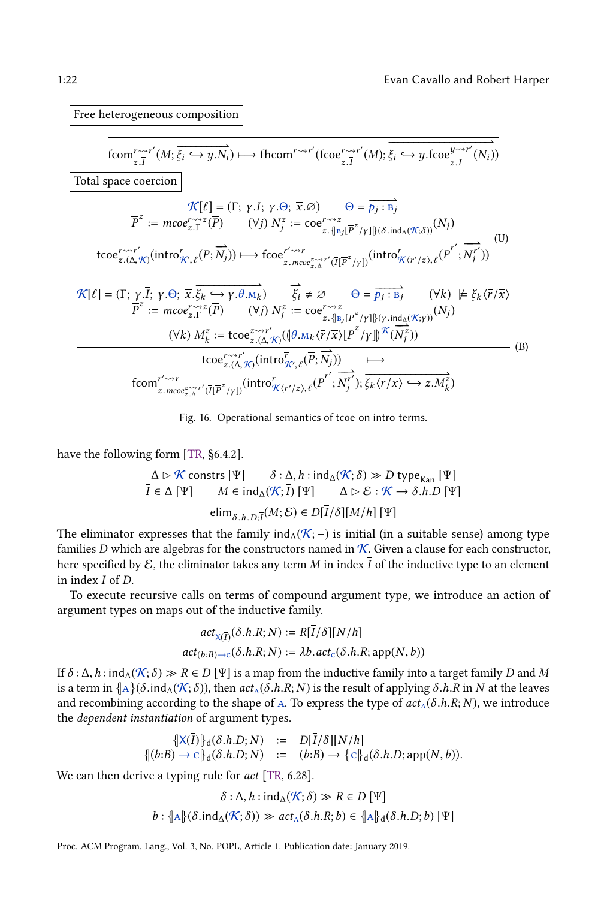<span id="page-21-0"></span>Free heterogeneous composition

$$
\frac{\text{fcom}_{z.\overline{i}}^{\gamma\rightarrow r'}(M;\overline{\xi_i} \hookrightarrow y.N_i) \longmapsto \text{fhcom}^{r\rightarrow r'}(\text{fco}^{r\rightarrow r'}(M);\overline{\xi_i} \hookrightarrow y.\text{fco}^{y\rightarrow r'}(N_i))}{\text{Total space coercion}}
$$
\n
$$
\frac{\mathcal{R}[\ell] = (\Gamma; \gamma.\overline{i}; \gamma.\Theta; \overline{x}.\emptyset) \qquad \Theta = \overline{p_j : \mathbb{B}_j}}{\overline{P}^z := mco \ell_{z.\overline{i}}^{\gamma\rightarrow r'}(\overline{P}) \qquad (\forall j) N_j^z := co \ell_{z.\overline{i}}^{\gamma\rightarrow r} \text{ for } \overline{\ell} \text{ is the } \overline{\ell} \text{ is the } \overline{\ell} \text{ is the } \overline{\ell} \text{ is the } \overline{\ell} \text{ is the } \overline{\ell} \text{ is the } \overline{\ell} \text{ is the } \overline{\ell} \text{ is the } \overline{\ell} \text{ is the } \overline{\ell} \text{ is the } \overline{\ell} \text{ is the } \overline{\ell} \text{ is the } \overline{\ell} \text{ is the } \overline{\ell} \text{ is the } \overline{\ell} \text{ is the } \overline{\ell} \text{ is the } \overline{\ell} \text{ is the } \overline{\ell} \text{ is the } \overline{\ell} \text{ is the } \overline{\ell} \text{ is the } \overline{\ell} \text{ is the } \overline{\ell} \text{ is the } \overline{\ell} \text{ is the } \overline{\ell} \text{ is the } \overline{\ell} \text{ is the } \overline{\ell} \text{ is the } \overline{\ell} \text{ is the } \overline{\ell} \text{ is the } \overline{\ell} \text{ is the } \overline{\ell} \text{ is the } \overline{\ell} \text{ is the } \overline{\ell} \text{ is the } \overline{\ell} \text{ is the } \overline{\ell} \text{ is the } \overline{\ell} \text{ is the } \overline{\ell} \text{ is the } \overline{\ell} \text{ is the } \overline{\ell} \text{ is the } \overline{\ell} \text{ is the } \overline{\ell} \text{ is the } \overline{\ell} \text{ is the } \overline{\ell} \text{ is the } \overline{\ell} \text{ is the } \overline{\ell} \text
$$



have the following form [\[TR,](#page-26-9) §6.4.2].

$$
\frac{\Delta \rhd \mathcal{K} \text{ constrs } [\Psi]}{I \in \Delta [\Psi]} \qquad \delta : \Delta, h : \text{ind}_{\Delta}(\mathcal{K}; \delta) \gg D \text{ type}_{\text{Kan}} [\Psi]
$$
\n
$$
\frac{\overline{I} \in \Delta [\Psi]}{M \in \text{ind}_{\Delta}(\mathcal{K}; \overline{I}) [\Psi]} \qquad \Delta \rhd \mathcal{E} : \mathcal{K} \to \delta.h.D [\Psi]
$$
\n
$$
\text{elim}_{\delta.h.D. \overline{I}}(M; \mathcal{E}) \in D[\overline{I}/\delta][M/h] [\Psi]
$$

The eliminator expresses that the family ind $\Delta(\mathcal{K};-)$  is initial (in a suitable sense) among type families D which are elsewed for the constructors named in  $\mathcal{K}$  Given a close for each constructor families  $D$  which are algebras for the constructors named in  $K$ . Given a clause for each constructor, here specified by  $\mathcal E$ , the eliminator takes any term M in index  $\overline{I}$  of the inductive type to an element in index  $\overline{I}$  of D.

To execute recursive calls on terms of compound argument type, we introduce an action of argument types on maps out of the inductive family.

$$
act_{\chi(\overline{I})}(\delta.h.R; N) := R[\overline{I}/\delta][N/h]
$$

$$
act_{(b:B)\to c}(\delta.h.R; N) := \lambda b. act_c(\delta.h.R; \text{app}(N, b))
$$

If  $\delta$  :  $\Delta$ , h : ind<sub>∆</sub>(K;  $\delta$ )  $\gg$  R  $\in$  D [Ψ] is a map from the inductive family into a target family D and M is a term in  $\{A\}(\delta \cdot \text{ind}_{\Delta}(\mathcal{K};\delta))$ , then  $act_{\Delta}(\delta \cdot h.R; N)$  is the result of applying  $\delta \cdot h.R$  in N at the leaves and recombining according to the shape of A. To express the type of  $act_A(\delta.h.R; N)$ , we introduce the dependent instantiation of argument types.

$$
\begin{array}{rcl}\n\{\langle \chi(\overline{I})\rangle\}_{\text{d}}(\delta.h.D;N) & := & D[\overline{I}/\delta][N/h] \\
\{(b:B) \to c\}_{\text{d}}(\delta.h.D;N) & := & (b:B) \to \{\subset\}_{\text{d}}(\delta.h.D; \text{app}(N, b)).\n\end{array}
$$

We can then derive a typing rule for *act* [\[TR,](#page-26-9) 6.28].

$$
\delta: \Delta, h: \text{ind}_{\Delta}(\mathcal{K}; \delta) \gg R \in D \text{ } [\Psi]
$$

$$
b: {\mathcal{A}_{\delta}(k, \text{ind}_{\Delta}(\mathcal{K}; \delta)) \gg \text{act}_{\mathcal{A}}(\delta.h.R; b) \in {\mathcal{A}_{\delta}(k, h.D; b) \text{ } [\Psi]}
$$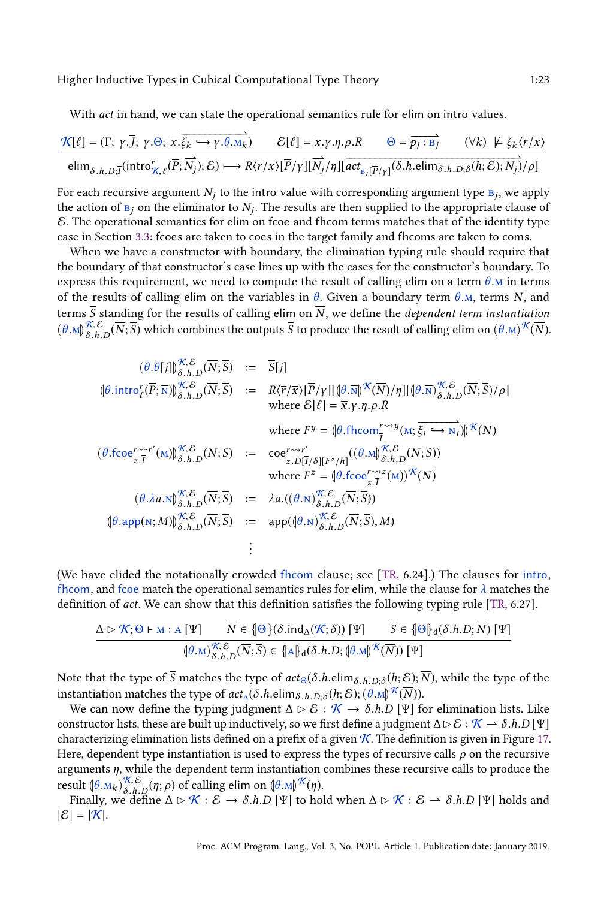With *act* in hand, we can state the operational semantics rule for elim on intro values.

$$
\frac{\mathcal{K}[\ell]=(\Gamma;\gamma.\overline{J};\gamma.\Theta;\overline{x}.\overline{\xi_k\hookrightarrow \gamma.\theta.\mathbf{n}_k})\qquad \mathcal{E}[\ell]=\overline{x}.\gamma.\eta.\rho.R\qquad \Theta=\overline{p_j:\mathbf{B}_j}\qquad (\forall k)\not=\xi_k\langle\overline{r}/\overline{x}\rangle}{\text{elim}_{\delta.h.D.\overline{J}}(\text{intro}_{\mathcal{K},\ell}^{\overline{r}}(\overline{P};\overline{N_j});\mathcal{E})\longmapsto R\langle\overline{r}/\overline{x}\rangle[\overline{P}/\gamma][\overline{N}_j/\eta][\overline{act}_{\mathbf{B}_j[\overline{P}/\gamma]}(\delta.h.\text{elim}_{\delta.h.D.\delta}(h;\mathcal{E});N_j)/\rho]}
$$

For each recursive argument  $N_j$  to the intro value with corresponding argument type  $B_j$ , we apply the action of  $B_j$  on the eliminator to  $N_j$ . The results are then supplied to the appropriate clause of the action of  $\mathbf{B}_j$  on the eliminator to  $N_j$ . The results are then supplied to the appropriate clause of  $\mathcal{E}$ . The operational semantics for elimination from and fhom terms matches that of the identity type E. The operational semantics for elim on fcoe and fhcom terms matches that of the identity type case in Section [3.3:](#page-13-0) fcoes are taken to coes in the target family and fhcoms are taken to coms.

When we have a constructor with boundary, the elimination typing rule should require that the boundary of that constructor's case lines up with the cases for the constructor's boundary. To express this requirement, we need to compute the result of calling elim on a term  $\theta$ .*m* in terms of the results of calling elim on the variables in  $\theta$ . Given a boundary term  $\theta$ .*m*, terms *N*, and terms  $\overline{S}$  standing for the results of calling elim on  $\overline{N}$ , we define the *dependent term instantiation*  $(\theta.\text{M})^{\mathcal{K},\mathcal{E}}_{\delta.h.D}(\overline{N};\overline{S})$  which combines the outputs  $\overline{S}$  to produce the result of calling elim on  $(\theta.\text{M})^{\mathcal{K}}(\overline{N})$ .

$$
\begin{array}{rcl}\n(\theta.\theta[j]) \int_{\delta.h.D}^{\mathcal{K},\mathcal{E}} (\overline{N};\overline{S}) & := & \overline{S}[j] \\
(\theta.\text{intro}_{\ell}^{\overline{r}}(\overline{P};\overline{N})) \int_{\delta.h.D}^{\mathcal{K},\mathcal{E}} (\overline{N};\overline{S}) & := & R\langle \overline{r}/\overline{x} \rangle [\overline{P}/\gamma][(\theta.\overline{N})^{\mathcal{K}}(\overline{N})/\eta][(\theta.\overline{N}) \int_{\delta.h.D}^{\mathcal{K},\mathcal{E}} (\overline{N};\overline{S})/\rho] \\
& \text{where } \mathcal{E}[\ell] = \overline{x}, \gamma.\eta.\rho.R \\
(\theta.\text{face}_{z.\overline{I}}^{\gamma\rightarrow r'}(M)) \int_{\delta.h.D}^{\mathcal{K},\mathcal{E}} (\overline{N};\overline{S}) & := & \text{co}_{z.D[\overline{I}/\delta][F^z/h]}^{\mathcal{K}\rightarrow r'\rightarrow r''} (M; \overline{\xi_i \rightarrow N_i})^{\mathcal{K}}(\overline{N}) \\
(\theta.\text{face}_{z.\overline{I}}^{\gamma\rightarrow r'}(M)) \int_{\delta.h.D}^{\mathcal{K},\mathcal{E}} (\overline{N};\overline{S}) & := & \text{co}_{z.D[\overline{I}/\delta][F^z/h]}^{\mathcal{K}\rightarrow r''} ((\theta.M) \int_{\delta.h.D}^{\mathcal{K},\mathcal{E}} (\overline{N};\overline{S})) \\
(\theta.\text{ap}(N;M)) \int_{\delta.h.D}^{\mathcal{K},\mathcal{E}} (\overline{N};\overline{S}) & := & \text{ap}( (\theta.N) \int_{\delta.h.D}^{\mathcal{K},\mathcal{E}} (\overline{N};\overline{S}), M) \\
& \vdots\n\end{array}
$$

(We have elided the notationally crowded fhcom clause; see [\[TR,](#page-26-9) 6.24].) The clauses for intro, fhcom, and fcoe match the operational semantics rules for elim, while the clause for  $\lambda$  matches the definition of act. We can show that this definition satisfies the following typing rule [\[TR,](#page-26-9) 6.27].

$$
\frac{\Delta \rhd \mathcal{K}; \Theta \vdash \mathrm{M}: \mathrm{A}[\Psi]}{\{\theta \ldots \mathbb{N}\}_{\delta.h.D}} \frac{\overline{N} \in \{\Theta \}(\delta.\mathrm{ind}_{\Delta}(\mathcal{K};\delta)) [\Psi]}{\{\theta \ldots \mathbb{N}\}_{\delta.h.D}} \frac{\overline{S} \in \{\Theta \}_d(\delta.h.D; \overline{N}) [\Psi]}{\{\theta \ldots \mathbb{N}\}_{\delta.h.D}} \frac{\mathbb{N}\times \mathrm{M}}{\{\theta \ldots \mathbb{N}\}_{\delta.h.D}} \frac{\mathbb{N}\times \mathrm{M}}{\{\theta \ldots \mathbb{N}\}_{\delta.h.D}} \frac{\mathbb{N}\times \mathrm{M}}{\{\theta \ldots \mathbb{N}\}_{\delta.h.D}} \frac{\mathbb{N}\times \mathrm{M}}{\{\theta \ldots \mathbb{N}\}_{\delta.h.D}} \frac{\mathbb{N}\times \mathrm{M}}{\{\theta \ldots \mathbb{N}\}_{\delta.h.D}} \frac{\mathbb{N}\times \mathrm{M}}{\{\theta \ldots \mathbb{N}\}_{\delta.h.D}} \frac{\mathbb{N}\times \mathrm{M}}{\{\theta \ldots \mathbb{N}\}_{\delta.h.D}} \frac{\mathbb{N}\times \mathrm{M}}{\{\theta \ldots \mathbb{N}\}_{\delta.h.D}} \frac{\mathbb{N}\times \mathrm{M}}{\{\theta \ldots \mathbb{N}\}_{\delta.h.D}} \frac{\mathbb{N}\times \mathrm{M}}{\{\theta \ldots \mathbb{N}\}_{\delta.h.D}} \frac{\mathbb{N}\times \mathrm{M}}{\{\theta \ldots \mathbb{N}\}_{\delta.h.D}} \frac{\mathbb{N}\times \mathrm{M}}{\{\theta \ldots \mathbb{N}\}_{\delta.h.D}} \frac{\mathbb{N}\times \mathrm{M}}{\{\theta \ldots \mathbb{N}\}_{\delta.h.D}} \frac{\mathbb{N}\times \mathrm{M}}{\{\theta \ldots \mathbb{N}\}_{\delta.h.D}} \frac{\mathbb{N}\times \mathrm{M}}{\{\theta \ldots \mathbb{N}\}_{\delta.h.D}} \frac{\mathbb{N}\times \mathrm{M}}{\{\theta \ldots \mathbb{N}\}_{\delta.h.D}} \frac{\mathbb{N}\times \mathrm{M}}{\{\theta \ldots \mathbb{N}\}_{\delta.h.D}} \frac{\mathbb{N}\times \mathrm{M}}{\{\theta \ldots \mathbb{N}\}_{\delta.h.D}} \frac{\mathbb{N}\times \mathrm{M}}{\{\theta \ldots \mathbb{N}\}_{\delta.h.D}}
$$

Note that the type of  $\overline{S}$  matches the type of  $act_{\Theta}(\delta.h$ .elim<sub> $\delta,h,D;\delta(h;\mathcal{E});\overline{N})$ , while the type of the</sub> instantiation matches the type of  $act_A(\delta.h.$ elim $_{\delta.h.D,\delta}(h;\mathcal{E});(\theta.M)^{\mathcal{K}}(\overline{N}))$ .<br>We can now define the typing judgment  $\Lambda \subset \mathcal{E} : \mathcal{K} \longrightarrow \delta h.D$  [W] for

We can now define the typing judgment  $\Delta \triangleright \mathcal{E} : \mathcal{K} \to \delta.h.D$  [Ψ] for elimination lists. Like constructor lists, these are built up inductively, so we first define a judgment  $\Delta \triangleright \mathcal{E} : \mathcal{K} \to \delta.h.D$  [Ψ] characterizing elimination lists defined on a prefix of a given  $K$ . The definition is given in Figure [17.](#page-23-2) Here, dependent type instantiation is used to express the types of recursive calls  $\rho$  on the recursive arguments η, while the dependent term instantiation combines these recursive calls to produce the result  $(\theta.M_k)_{\delta.h.}^{\mathcal{K},\delta}$ <br>Finally we de  $\frac{\mathcal{K}, \mathcal{E}}{\mathcal{S}.h.D}(\eta; \rho)$  of calling elim on  $(\theta.\text{M})^{\mathcal{K}}(\eta)$ .<br>A define  $\Lambda \rhd \mathcal{K} : \mathcal{E} \to \delta h.D$  [Ψ] to bo

Finally, we define  $\Delta \triangleright \mathcal{K} : \mathcal{E} \to \delta.h.D$  [Ψ] to hold when  $\Delta \triangleright \mathcal{K} : \mathcal{E} \to \delta.h.D$  [Ψ] holds and  $|\mathcal{E}| = |\mathcal{K}|.$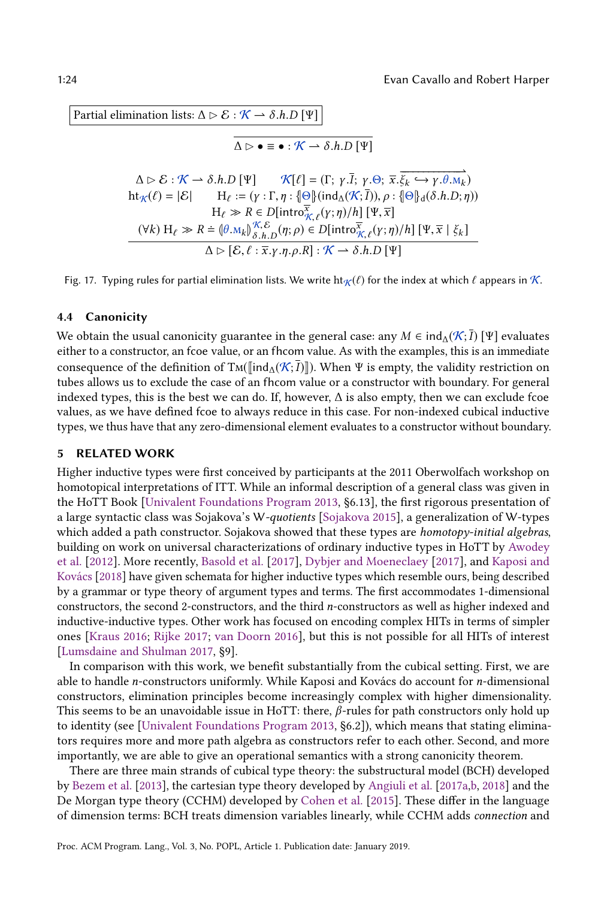<span id="page-23-2"></span>Partial elimination lists:  $\Delta \triangleright \mathcal{E} : \mathcal{K} \to \delta.h.D$  [Ψ]

 $\overline{\wedge \triangleright \bullet \equiv \bullet : \mathcal{K} \rightarrow \delta.h.D \, [\Psi]}$ 

$$
\Delta \triangleright \mathcal{E} : \mathcal{K} \to \delta.h.D \, [\Psi] \qquad \mathcal{K}[\ell] = (\Gamma; \gamma, \overline{I}; \gamma, \Theta; \overline{x}, \overline{\xi_k} \hookrightarrow \gamma, \theta, \mathbf{M}_k) \nht_{\mathcal{K}}(\ell) = |\mathcal{E}| \qquad H_{\ell} := (\gamma : \Gamma, \eta : \{\Theta\}[(\text{ind}_{\Delta}(\mathcal{K}; \overline{I})), \rho : \{\Theta\}_d(\delta.h.D; \eta)) \nH_{\ell} \gg R \in D[\text{intro}_{\mathcal{K}, \ell}^{\overline{\chi}}(\gamma; \eta) / h] \, [\Psi, \overline{x}] \n(\forall k) H_{\ell} \gg R \doteq [\theta. M_k]_{\delta.h.D}^{\mathcal{K}, \mathcal{E}}(\eta; \rho) \in D[\text{intro}_{\mathcal{K}, \ell}^{\overline{\chi}}(\gamma; \eta) / h] \, [\Psi, \overline{x} \mid \xi_k] \n\Delta \triangleright [\mathcal{E}, \ell : \overline{x}. \gamma. \eta. \rho. R] : \mathcal{K} \to \delta.h.D \, [\Psi]
$$

Fig. 17. Typing rules for partial elimination lists. We write ht<sub>K</sub>( $\ell$ ) for the index at which  $\ell$  appears in K.

#### <span id="page-23-1"></span>4.4 Canonicity

We obtain the usual canonicity guarantee in the general case: any  $M \in \text{ind}_{\Delta}(\mathcal{K}; \overline{I})$  [Ψ] evaluates either to a constructor, an fcoe value, or an fhcom value. As with the examples, this is an immediate consequence of the definition of  $\text{TM}(\text{find}_{\Delta}(\mathcal{K};\overline{I})\|)$ . When  $\Psi$  is empty, the validity restriction on tubes allows us to exclude the case of an fhcom value or a constructor with boundary. For general indexed types, this is the best we can do. If, however,  $\Delta$  is also empty, then we can exclude fcoe values, as we have defined fcoe to always reduce in this case. For non-indexed cubical inductive types, we thus have that any zero-dimensional element evaluates to a constructor without boundary.

#### <span id="page-23-0"></span>5 RELATED WORK

Higher inductive types were first conceived by participants at the 2011 Oberwolfach workshop on homotopical interpretations of ITT. While an informal description of a general class was given in the HoTT Book [\[Univalent Foundations Program](#page-26-7) [2013,](#page-26-7) §6.13], the first rigorous presentation of a large syntactic class was Sojakova's W-quotients [\[Sojakova](#page-26-11) [2015\]](#page-26-11), a generalization of W-types which added a path constructor. Sojakova showed that these types are *homotopy-initial algebras*, building on work on universal characterizations of ordinary inductive types in HoTT by [Awodey](#page-26-12) [et al.](#page-26-12) [\[2012\]](#page-26-12). More recently, [Basold et al.](#page-26-13) [\[2017\]](#page-26-13), [Dybjer and Moeneclaey](#page-26-14) [\[2017\]](#page-26-14), and [Kaposi and](#page-26-15) [Kovács](#page-26-15) [\[2018\]](#page-26-15) have given schemata for higher inductive types which resemble ours, being described by a grammar or type theory of argument types and terms. The first accommodates 1-dimensional constructors, the second 2-constructors, and the third n-constructors as well as higher indexed and inductive-inductive types. Other work has focused on encoding complex HITs in terms of simpler ones [\[Kraus](#page-26-16) [2016;](#page-26-16) [Rijke](#page-26-17) [2017;](#page-26-17) [van Doorn](#page-26-18) [2016\]](#page-26-18), but this is not possible for all HITs of interest [\[Lumsdaine and Shulman](#page-26-19) [2017,](#page-26-19) §9].

In comparison with this work, we benefit substantially from the cubical setting. First, we are able to handle n-constructors uniformly. While Kaposi and Kovács do account for n-dimensional constructors, elimination principles become increasingly complex with higher dimensionality. This seems to be an unavoidable issue in HoTT: there,  $\beta$ -rules for path constructors only hold up to identity (see [\[Univalent Foundations Program](#page-26-7) [2013,](#page-26-7) §6.2]), which means that stating eliminators requires more and more path algebra as constructors refer to each other. Second, and more importantly, we are able to give an operational semantics with a strong canonicity theorem.

There are three main strands of cubical type theory: the substructural model (BCH) developed by [Bezem et al.](#page-26-20) [\[2013\]](#page-26-20), the cartesian type theory developed by [Angiuli et al.](#page-25-5) [\[2017a,](#page-25-5)[b,](#page-25-1) [2018\]](#page-25-2) and the De Morgan type theory (CCHM) developed by [Cohen et al.](#page-26-5) [\[2015\]](#page-26-5). These differ in the language of dimension terms: BCH treats dimension variables linearly, while CCHM adds connection and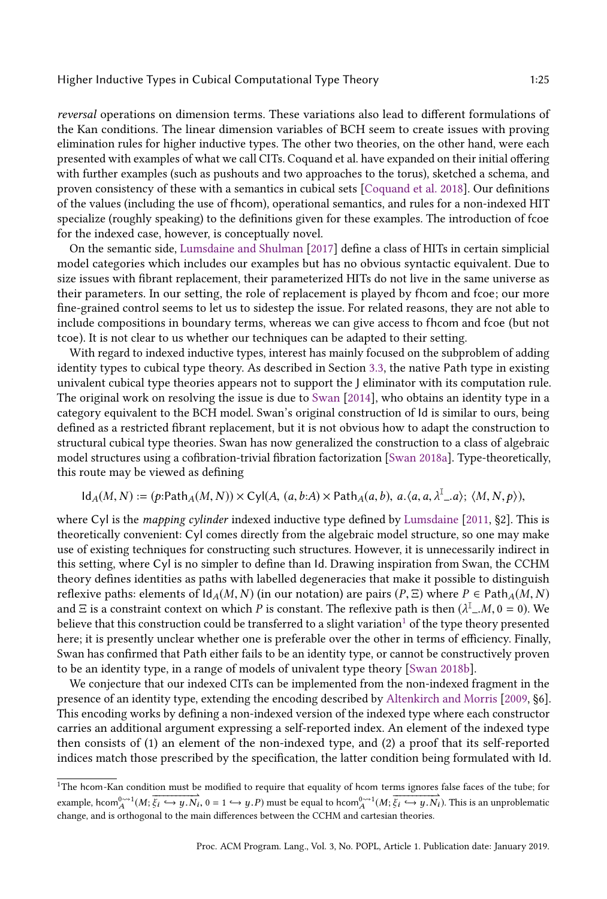reversal operations on dimension terms. These variations also lead to different formulations of the Kan conditions. The linear dimension variables of BCH seem to create issues with proving elimination rules for higher inductive types. The other two theories, on the other hand, were each presented with examples of what we call CITs. Coquand et al. have expanded on their initial offering with further examples (such as pushouts and two approaches to the torus), sketched a schema, and proven consistency of these with a semantics in cubical sets [\[Coquand et al.](#page-26-21) [2018\]](#page-26-21). Our definitions of the values (including the use of fhcom), operational semantics, and rules for a non-indexed HIT specialize (roughly speaking) to the definitions given for these examples. The introduction of fcoe for the indexed case, however, is conceptually novel.

On the semantic side, [Lumsdaine and Shulman](#page-26-19) [\[2017\]](#page-26-19) define a class of HITs in certain simplicial model categories which includes our examples but has no obvious syntactic equivalent. Due to size issues with fibrant replacement, their parameterized HITs do not live in the same universe as their parameters. In our setting, the role of replacement is played by fhcom and fcoe; our more fine-grained control seems to let us to sidestep the issue. For related reasons, they are not able to include compositions in boundary terms, whereas we can give access to fhcom and fcoe (but not tcoe). It is not clear to us whether our techniques can be adapted to their setting.

With regard to indexed inductive types, interest has mainly focused on the subproblem of adding identity types to cubical type theory. As described in Section [3.3,](#page-13-0) the native Path type in existing univalent cubical type theories appears not to support the J eliminator with its computation rule. The original work on resolving the issue is due to [Swan](#page-26-22) [\[2014\]](#page-26-22), who obtains an identity type in a category equivalent to the BCH model. Swan's original construction of Id is similar to ours, being defined as a restricted fibrant replacement, but it is not obvious how to adapt the construction to structural cubical type theories. Swan has now generalized the construction to a class of algebraic model structures using a cofibration-trivial fibration factorization [\[Swan](#page-26-23) [2018a\]](#page-26-23). Type-theoretically, this route may be viewed as defining

# $\text{Id}_A(M, N) := (p:\text{Path}_A(M, N)) \times \text{Cyl}(A, (a, b:A) \times \text{Path}_A(a, b), a.\langle a, a, \lambda^{\mathbb{I}} \_a), \langle M, N, p \rangle),$

where Cyl is the *mapping cylinder* indexed inductive type defined by [Lumsdaine](#page-26-24) [\[2011,](#page-26-24) §2]. This is theoretically convenient: Cyl comes directly from the algebraic model structure, so one may make use of existing techniques for constructing such structures. However, it is unnecessarily indirect in this setting, where Cyl is no simpler to define than Id. Drawing inspiration from Swan, the CCHM theory defines identities as paths with labelled degeneracies that make it possible to distinguish reflexive paths: elements of  $\text{Id}_A(M, N)$  (in our notation) are pairs  $(P, \Xi)$  where  $P \in \text{Path}_A(M, N)$ and  $\Xi$  is a constraint context on which P is constant. The reflexive path is then  $(\lambda^{\mathbb{I}}_-, M, 0 = 0)$ . We helieve that this construction could be transferred to a slight variation<sup>1</sup> of the type theory presented believe that this construction could be transferred to a slight variation<sup>[1](#page-24-0)</sup> of the type theory presented here; it is presently unclear whether one is preferable over the other in terms of efficiency. Finally, Swan has confirmed that Path either fails to be an identity type, or cannot be constructively proven to be an identity type, in a range of models of univalent type theory [\[Swan](#page-26-25) [2018b\]](#page-26-25).

We conjecture that our indexed CITs can be implemented from the non-indexed fragment in the presence of an identity type, extending the encoding described by [Altenkirch and Morris](#page-25-6) [\[2009,](#page-25-6) §6]. This encoding works by defining a non-indexed version of the indexed type where each constructor carries an additional argument expressing a self-reported index. An element of the indexed type then consists of (1) an element of the non-indexed type, and (2) a proof that its self-reported indices match those prescribed by the specification, the latter condition being formulated with Id.

<span id="page-24-0"></span><sup>1</sup>The hcom-Kan condition must be modified to require that equality of hcom terms ignores false faces of the tube; for example, hcom $0^{\infty}$ 1 $(M; \overline{\xi_i} \rightarrow y, P)$  must be equal to hcom<sup>0</sup> $^{\infty}$ <sup>1</sup> $(M; \overline{\xi_i} \rightarrow y, P)$ . This is an unproblematic charge on the equal to the equal to hcom<sup>0</sup> $^{\infty}$ <sup>1</sup> $(M; \overline{\xi_i} \rightarrow y, P)$ . This is an unproblematic change, and is orthogonal to the main differences between the CCHM and cartesian theories.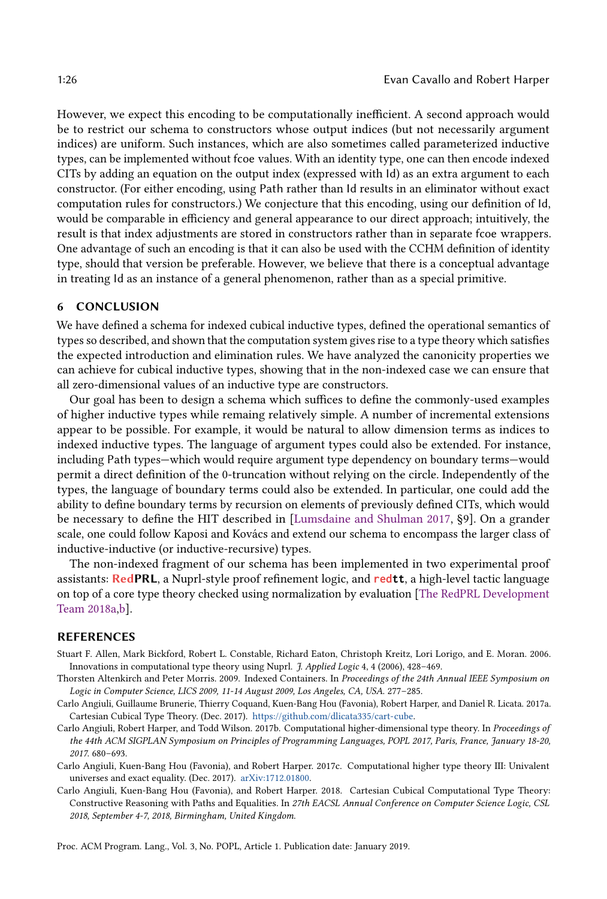However, we expect this encoding to be computationally inefficient. A second approach would be to restrict our schema to constructors whose output indices (but not necessarily argument indices) are uniform. Such instances, which are also sometimes called parameterized inductive types, can be implemented without fcoe values. With an identity type, one can then encode indexed CITs by adding an equation on the output index (expressed with Id) as an extra argument to each constructor. (For either encoding, using Path rather than Id results in an eliminator without exact computation rules for constructors.) We conjecture that this encoding, using our definition of Id, would be comparable in efficiency and general appearance to our direct approach; intuitively, the result is that index adjustments are stored in constructors rather than in separate fcoe wrappers. One advantage of such an encoding is that it can also be used with the CCHM definition of identity type, should that version be preferable. However, we believe that there is a conceptual advantage in treating Id as an instance of a general phenomenon, rather than as a special primitive.

# <span id="page-25-3"></span>6 CONCLUSION

We have defined a schema for indexed cubical inductive types, defined the operational semantics of types so described, and shown that the computation system gives rise to a type theory which satisfies the expected introduction and elimination rules. We have analyzed the canonicity properties we can achieve for cubical inductive types, showing that in the non-indexed case we can ensure that all zero-dimensional values of an inductive type are constructors.

Our goal has been to design a schema which suffices to define the commonly-used examples of higher inductive types while remaing relatively simple. A number of incremental extensions appear to be possible. For example, it would be natural to allow dimension terms as indices to indexed inductive types. The language of argument types could also be extended. For instance, including Path types—which would require argument type dependency on boundary terms—would permit a direct definition of the 0-truncation without relying on the circle. Independently of the types, the language of boundary terms could also be extended. In particular, one could add the ability to define boundary terms by recursion on elements of previously defined CITs, which would be necessary to define the HIT described in [\[Lumsdaine and Shulman](#page-26-19) [2017,](#page-26-19) §9]. On a grander scale, one could follow Kaposi and Kovács and extend our schema to encompass the larger class of inductive-inductive (or inductive-recursive) types.

The non-indexed fragment of our schema has been implemented in two experimental proof assistants: RedPRL, a Nuprl-style proof refinement logic, and **redtt**, a high-level tactic language on top of a core type theory checked using normalization by evaluation [\[The RedPRL Development](#page-26-26) [Team](#page-26-26) [2018a](#page-26-26)[,b\]](#page-26-27).

#### **REFERENCES**

- <span id="page-25-0"></span>Stuart F. Allen, Mark Bickford, Robert L. Constable, Richard Eaton, Christoph Kreitz, Lori Lorigo, and E. Moran. 2006. Innovations in computational type theory using Nuprl. J. Applied Logic 4, 4 (2006), 428–469.
- <span id="page-25-6"></span>Thorsten Altenkirch and Peter Morris. 2009. Indexed Containers. In Proceedings of the 24th Annual IEEE Symposium on Logic in Computer Science, LICS 2009, 11-14 August 2009, Los Angeles, CA, USA. 277–285.
- <span id="page-25-5"></span>Carlo Angiuli, Guillaume Brunerie, Thierry Coquand, Kuen-Bang Hou (Favonia), Robert Harper, and Daniel R. Licata. 2017a. Cartesian Cubical Type Theory. (Dec. 2017). [https://github.com/dlicata335/cart-cube.](https://github.com/dlicata335/cart-cube)
- <span id="page-25-1"></span>Carlo Angiuli, Robert Harper, and Todd Wilson. 2017b. Computational higher-dimensional type theory. In Proceedings of the 44th ACM SIGPLAN Symposium on Principles of Programming Languages, POPL 2017, Paris, France, January 18-20, 2017. 680–693.
- <span id="page-25-4"></span>Carlo Angiuli, Kuen-Bang Hou (Favonia), and Robert Harper. 2017c. Computational higher type theory III: Univalent universes and exact equality. (Dec. 2017). [arXiv:1712.01800.](https://arxiv.org/abs/1712.01800)
- <span id="page-25-2"></span>Carlo Angiuli, Kuen-Bang Hou (Favonia), and Robert Harper. 2018. Cartesian Cubical Computational Type Theory: Constructive Reasoning with Paths and Equalities. In 27th EACSL Annual Conference on Computer Science Logic, CSL 2018, September 4-7, 2018, Birmingham, United Kingdom.